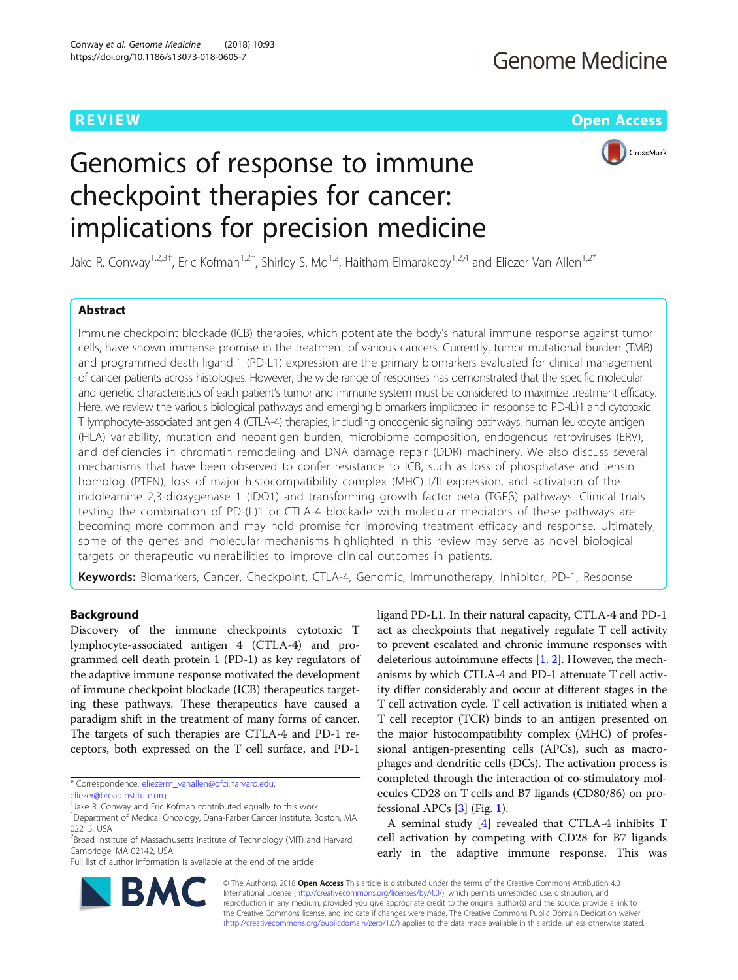**REVIEW CONTROL** CONTROL CONTROL CONTROL CONTROL CONTROL CONTROL CONTROL CONTROL CONTROL CONTROL CONTROL CONTROL CONTROL CONTROL CONTROL CONTROL CONTROL CONTROL CONTROL CONTROL CONTROL CONTROL CONTROL CONTROL CONTROL CONTR

CrossMark

# Genomics of response to immune checkpoint therapies for cancer: implications for precision medicine

Jake R. Conway<sup>1,2,3†</sup>, Eric Kofman<sup>1,2†</sup>, Shirley S. Mo<sup>1,2</sup>, Haitham Elmarakeby<sup>1,2,4</sup> and Eliezer Van Allen<sup>1,2\*</sup>

# Abstract

Immune checkpoint blockade (ICB) therapies, which potentiate the body's natural immune response against tumor cells, have shown immense promise in the treatment of various cancers. Currently, tumor mutational burden (TMB) and programmed death ligand 1 (PD-L1) expression are the primary biomarkers evaluated for clinical management of cancer patients across histologies. However, the wide range of responses has demonstrated that the specific molecular and genetic characteristics of each patient's tumor and immune system must be considered to maximize treatment efficacy. Here, we review the various biological pathways and emerging biomarkers implicated in response to PD-(L)1 and cytotoxic T lymphocyte-associated antigen 4 (CTLA-4) therapies, including oncogenic signaling pathways, human leukocyte antigen (HLA) variability, mutation and neoantigen burden, microbiome composition, endogenous retroviruses (ERV), and deficiencies in chromatin remodeling and DNA damage repair (DDR) machinery. We also discuss several mechanisms that have been observed to confer resistance to ICB, such as loss of phosphatase and tensin homolog (PTEN), loss of major histocompatibility complex (MHC) I/II expression, and activation of the indoleamine 2,3-dioxygenase 1 (IDO1) and transforming growth factor beta (TGFβ) pathways. Clinical trials testing the combination of PD-(L)1 or CTLA-4 blockade with molecular mediators of these pathways are becoming more common and may hold promise for improving treatment efficacy and response. Ultimately, some of the genes and molecular mechanisms highlighted in this review may serve as novel biological targets or therapeutic vulnerabilities to improve clinical outcomes in patients.

Keywords: Biomarkers, Cancer, Checkpoint, CTLA-4, Genomic, Immunotherapy, Inhibitor, PD-1, Response

# Background

Discovery of the immune checkpoints cytotoxic T lymphocyte-associated antigen 4 (CTLA-4) and programmed cell death protein 1 (PD-1) as key regulators of the adaptive immune response motivated the development of immune checkpoint blockade (ICB) therapeutics targeting these pathways. These therapeutics have caused a paradigm shift in the treatment of many forms of cancer. The targets of such therapies are CTLA-4 and PD-1 receptors, both expressed on the T cell surface, and PD-1

\* Correspondence: [eliezerm\\_vanallen@dfci.harvard.edu](mailto:eliezerm_vanallen@dfci.harvard.edu);

† Jake R. Conway and Eric Kofman contributed equally to this work.

Full list of author information is available at the end of the article

ligand PD-L1. In their natural capacity, CTLA-4 and PD-1 act as checkpoints that negatively regulate T cell activity to prevent escalated and chronic immune responses with deleterious autoimmune effects [[1,](#page-13-0) [2](#page-13-0)]. However, the mechanisms by which CTLA-4 and PD-1 attenuate T cell activity differ considerably and occur at different stages in the T cell activation cycle. T cell activation is initiated when a T cell receptor (TCR) binds to an antigen presented on the major histocompatibility complex (MHC) of professional antigen-presenting cells (APCs), such as macrophages and dendritic cells (DCs). The activation process is completed through the interaction of co-stimulatory molecules CD28 on T cells and B7 ligands (CD80/86) on professional APCs [[3\]](#page-13-0) (Fig. [1](#page-1-0)).

A seminal study [[4\]](#page-13-0) revealed that CTLA-4 inhibits T cell activation by competing with CD28 for B7 ligands early in the adaptive immune response. This was



© The Author(s). 2018 Open Access This article is distributed under the terms of the Creative Commons Attribution 4.0 International License [\(http://creativecommons.org/licenses/by/4.0/](http://creativecommons.org/licenses/by/4.0/)), which permits unrestricted use, distribution, and reproduction in any medium, provided you give appropriate credit to the original author(s) and the source, provide a link to the Creative Commons license, and indicate if changes were made. The Creative Commons Public Domain Dedication waiver [\(http://creativecommons.org/publicdomain/zero/1.0/](http://creativecommons.org/publicdomain/zero/1.0/)) applies to the data made available in this article, unless otherwise stated.

[eliezer@broadinstitute.org](mailto:eliezer@broadinstitute.org)

<sup>&</sup>lt;sup>1</sup>Department of Medical Oncology, Dana-Farber Cancer Institute, Boston, MA 02215, USA

<sup>&</sup>lt;sup>2</sup> Broad Institute of Massachusetts Institute of Technology (MIT) and Harvard, Cambridge, MA 02142, USA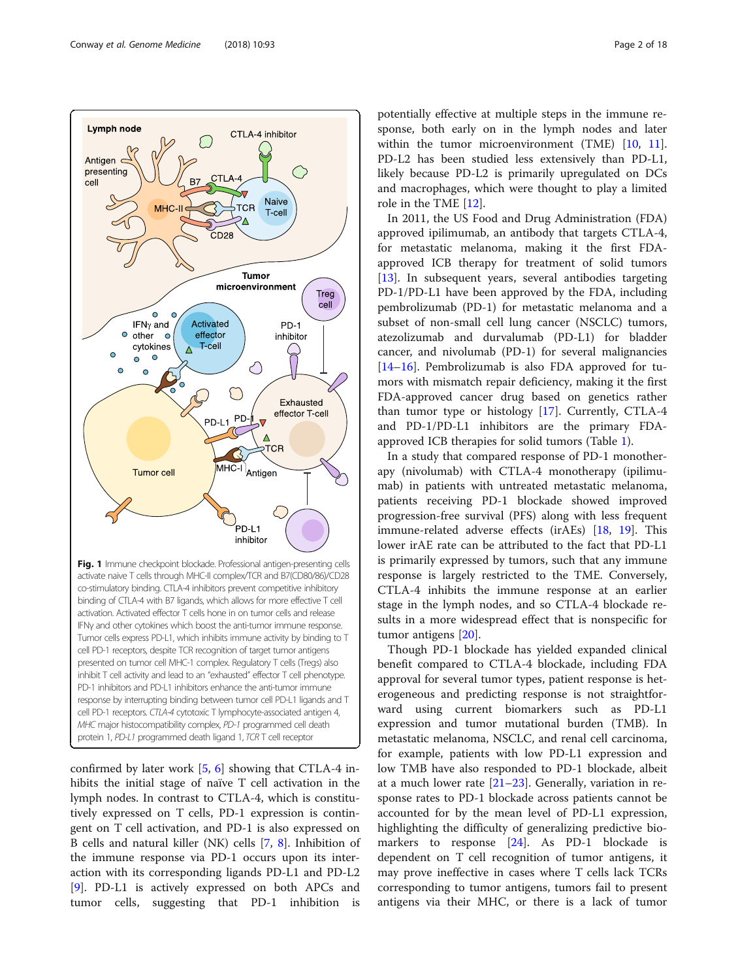<span id="page-1-0"></span>

confirmed by later work [\[5,](#page-13-0) [6](#page-13-0)] showing that CTLA-4 inhibits the initial stage of naïve T cell activation in the lymph nodes. In contrast to CTLA-4, which is constitutively expressed on T cells, PD-1 expression is contingent on T cell activation, and PD-1 is also expressed on B cells and natural killer (NK) cells [\[7](#page-13-0), [8](#page-13-0)]. Inhibition of the immune response via PD-1 occurs upon its interaction with its corresponding ligands PD-L1 and PD-L2 [[9\]](#page-13-0). PD-L1 is actively expressed on both APCs and tumor cells, suggesting that PD-1 inhibition is

potentially effective at multiple steps in the immune response, both early on in the lymph nodes and later within the tumor microenvironment (TME) [[10](#page-13-0), [11](#page-13-0)]. PD-L2 has been studied less extensively than PD-L1, likely because PD-L2 is primarily upregulated on DCs and macrophages, which were thought to play a limited role in the TME [[12\]](#page-13-0).

In 2011, the US Food and Drug Administration (FDA) approved ipilimumab, an antibody that targets CTLA-4, for metastatic melanoma, making it the first FDAapproved ICB therapy for treatment of solid tumors [[13\]](#page-13-0). In subsequent years, several antibodies targeting PD-1/PD-L1 have been approved by the FDA, including pembrolizumab (PD-1) for metastatic melanoma and a subset of non-small cell lung cancer (NSCLC) tumors, atezolizumab and durvalumab (PD-L1) for bladder cancer, and nivolumab (PD-1) for several malignancies [[14](#page-13-0)–[16](#page-13-0)]. Pembrolizumab is also FDA approved for tumors with mismatch repair deficiency, making it the first FDA-approved cancer drug based on genetics rather than tumor type or histology [[17\]](#page-13-0). Currently, CTLA-4 and PD-1/PD-L1 inhibitors are the primary FDAapproved ICB therapies for solid tumors (Table [1](#page-2-0)).

In a study that compared response of PD-1 monotherapy (nivolumab) with CTLA-4 monotherapy (ipilimumab) in patients with untreated metastatic melanoma, patients receiving PD-1 blockade showed improved progression-free survival (PFS) along with less frequent immune-related adverse effects (irAEs) [[18,](#page-13-0) [19](#page-13-0)]. This lower irAE rate can be attributed to the fact that PD-L1 is primarily expressed by tumors, such that any immune response is largely restricted to the TME. Conversely, CTLA-4 inhibits the immune response at an earlier stage in the lymph nodes, and so CTLA-4 blockade results in a more widespread effect that is nonspecific for tumor antigens [\[20\]](#page-13-0).

Though PD-1 blockade has yielded expanded clinical benefit compared to CTLA-4 blockade, including FDA approval for several tumor types, patient response is heterogeneous and predicting response is not straightforward using current biomarkers such as PD-L1 expression and tumor mutational burden (TMB). In metastatic melanoma, NSCLC, and renal cell carcinoma, for example, patients with low PD-L1 expression and low TMB have also responded to PD-1 blockade, albeit at a much lower rate [[21](#page-13-0)–[23](#page-13-0)]. Generally, variation in response rates to PD-1 blockade across patients cannot be accounted for by the mean level of PD-L1 expression, highlighting the difficulty of generalizing predictive bio-markers to response [\[24](#page-14-0)]. As PD-1 blockade is dependent on T cell recognition of tumor antigens, it may prove ineffective in cases where T cells lack TCRs corresponding to tumor antigens, tumors fail to present antigens via their MHC, or there is a lack of tumor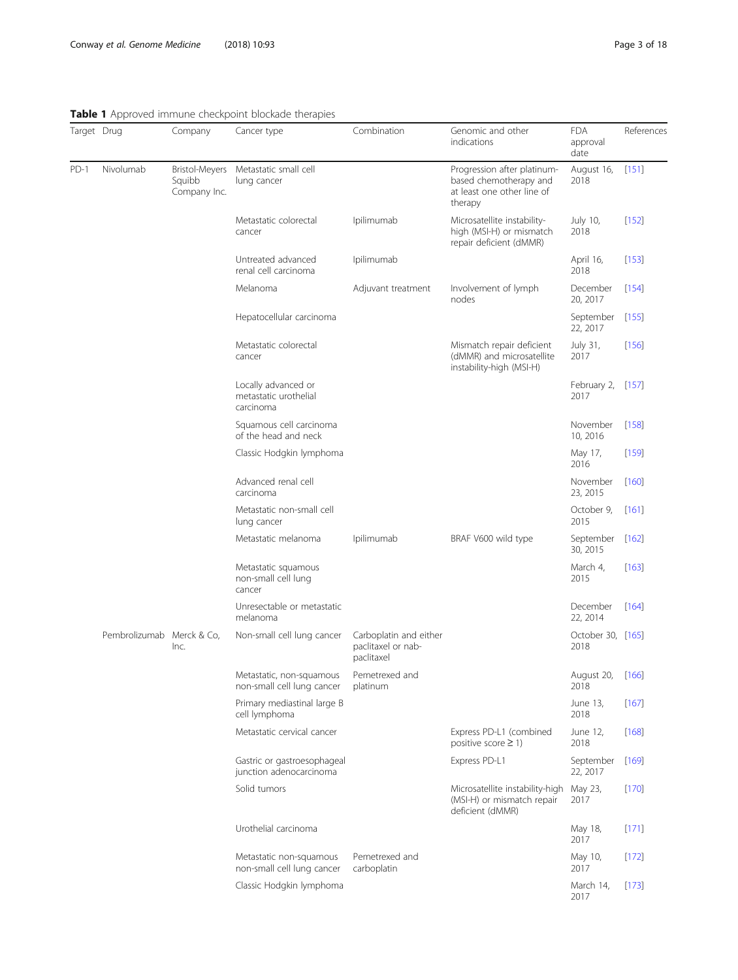# <span id="page-2-0"></span>Table 1 Approved immune checkpoint blockade therapies

| Target Drug |                           | Company                                         | Cancer type                                               | Combination                                                | Genomic and other<br>indications                                                               | <b>FDA</b><br>approval<br>date | References |
|-------------|---------------------------|-------------------------------------------------|-----------------------------------------------------------|------------------------------------------------------------|------------------------------------------------------------------------------------------------|--------------------------------|------------|
| PD-1        | Nivolumab                 | <b>Bristol-Meyers</b><br>Squibb<br>Company Inc. | Metastatic small cell<br>lung cancer                      |                                                            | Progression after platinum-<br>based chemotherapy and<br>at least one other line of<br>therapy | August 16,<br>2018             | [151]      |
|             |                           |                                                 | Metastatic colorectal<br>cancer                           | Ipilimumab                                                 | Microsatellite instability-<br>high (MSI-H) or mismatch<br>repair deficient (dMMR)             | July 10,<br>2018               | $[152]$    |
|             |                           |                                                 | Untreated advanced<br>renal cell carcinoma                | Ipilimumab                                                 |                                                                                                | April 16,<br>2018              | $[153]$    |
|             |                           |                                                 | Melanoma                                                  | Adjuvant treatment                                         | Involvement of lymph<br>nodes                                                                  | December<br>20, 2017           | $[154]$    |
|             |                           |                                                 | Hepatocellular carcinoma                                  |                                                            |                                                                                                | September<br>22, 2017          | [155]      |
|             |                           |                                                 | Metastatic colorectal<br>cancer                           |                                                            | Mismatch repair deficient<br>(dMMR) and microsatellite<br>instability-high (MSI-H)             | July 31,<br>2017               | $[156]$    |
|             |                           |                                                 | Locally advanced or<br>metastatic urothelial<br>carcinoma |                                                            |                                                                                                | February 2, [157]<br>2017      |            |
|             |                           |                                                 | Squamous cell carcinoma<br>of the head and neck           |                                                            |                                                                                                | November<br>10, 2016           | [158]      |
|             |                           |                                                 | Classic Hodgkin lymphoma                                  |                                                            |                                                                                                | May 17,<br>2016                | $[159]$    |
|             |                           |                                                 | Advanced renal cell<br>carcinoma                          |                                                            |                                                                                                | November<br>23, 2015           | $[160]$    |
|             |                           |                                                 | Metastatic non-small cell<br>lung cancer                  |                                                            |                                                                                                | October 9,<br>2015             | $[161]$    |
|             |                           |                                                 | Metastatic melanoma                                       | Ipilimumab                                                 | BRAF V600 wild type                                                                            | September [162]<br>30, 2015    |            |
|             |                           |                                                 | Metastatic squamous<br>non-small cell lung<br>cancer      |                                                            |                                                                                                | March 4,<br>2015               | $[163]$    |
|             |                           |                                                 | Unresectable or metastatic<br>melanoma                    |                                                            |                                                                                                | December<br>22, 2014           | $[164]$    |
|             | Pembrolizumab Merck & Co, | Inc.                                            | Non-small cell lung cancer                                | Carboplatin and either<br>paclitaxel or nab-<br>paclitaxel |                                                                                                | October 30, [165]<br>2018      |            |
|             |                           |                                                 | Metastatic, non-squamous<br>non-small cell lung cancer    | Pemetrexed and<br>platinum                                 |                                                                                                | August 20,<br>2018             | $[166]$    |
|             |                           |                                                 | Primary mediastinal large B<br>cell lymphoma              |                                                            |                                                                                                | June 13,<br>2018               | $[167]$    |
|             |                           |                                                 | Metastatic cervical cancer                                |                                                            | Express PD-L1 (combined<br>positive score $\geq$ 1)                                            | June 12,<br>2018               | $[168]$    |
|             |                           |                                                 | Gastric or gastroesophageal<br>junction adenocarcinoma    |                                                            | Express PD-L1                                                                                  | September<br>22, 2017          | $[169]$    |
|             |                           |                                                 | Solid tumors                                              |                                                            | Microsatellite instability-high<br>(MSI-H) or mismatch repair<br>deficient (dMMR)              | May 23,<br>2017                | $[170]$    |
|             |                           |                                                 | Urothelial carcinoma                                      |                                                            |                                                                                                | May 18,<br>2017                | [171]      |
|             |                           |                                                 | Metastatic non-squamous<br>non-small cell lung cancer     | Pemetrexed and<br>carboplatin                              |                                                                                                | May 10,<br>2017                | $[172]$    |
|             |                           |                                                 | Classic Hodgkin lymphoma                                  |                                                            |                                                                                                | March 14,<br>2017              | $[173]$    |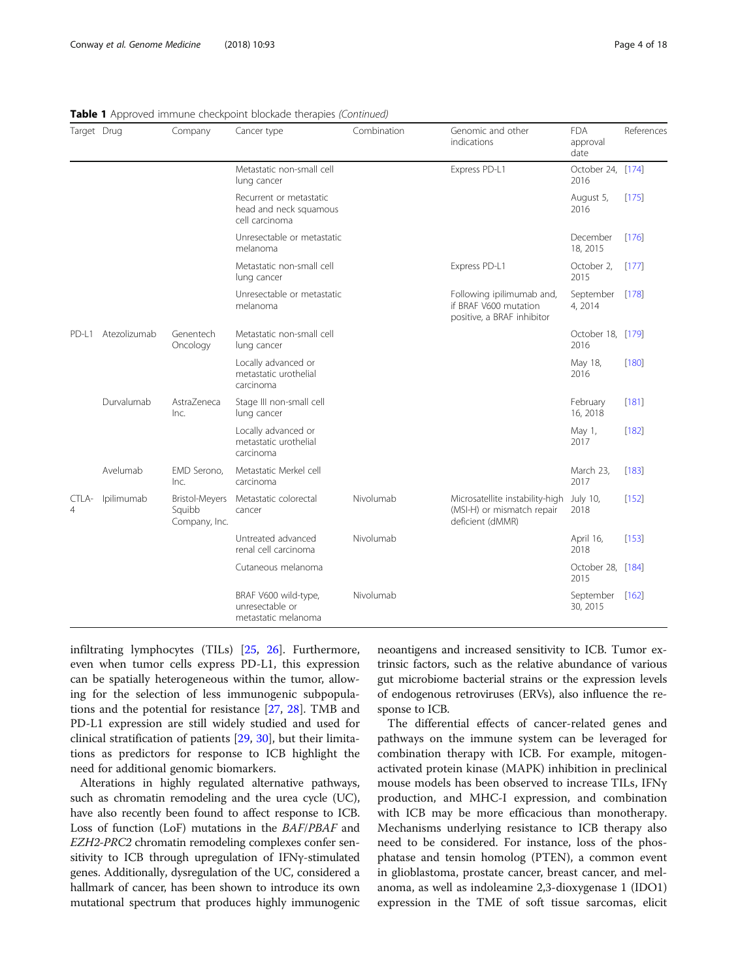| Target Drug |              | Company                                          | Cancer type                                                         | Combination | Genomic and other<br>indications                                                  | <b>FDA</b><br>approval<br>date | References |
|-------------|--------------|--------------------------------------------------|---------------------------------------------------------------------|-------------|-----------------------------------------------------------------------------------|--------------------------------|------------|
|             |              |                                                  | Metastatic non-small cell<br>lung cancer                            |             | Express PD-L1                                                                     | October 24, [174]<br>2016      |            |
|             |              |                                                  | Recurrent or metastatic<br>head and neck squamous<br>cell carcinoma |             |                                                                                   | August 5,<br>2016              | $[175]$    |
|             |              |                                                  | Unresectable or metastatic<br>melanoma                              |             |                                                                                   | December<br>18, 2015           | [176]      |
|             |              |                                                  | Metastatic non-small cell<br>lung cancer                            |             | Express PD-L1                                                                     | October 2,<br>2015             | $[177]$    |
|             |              |                                                  | Unresectable or metastatic<br>melanoma                              |             | Following ipilimumab and,<br>if BRAF V600 mutation<br>positive, a BRAF inhibitor  | September [178]<br>4, 2014     |            |
| PD-L1       | Atezolizumab | Genentech<br>Oncology                            | Metastatic non-small cell<br>lung cancer                            |             |                                                                                   | October 18, [179]<br>2016      |            |
|             |              |                                                  | Locally advanced or<br>metastatic urothelial<br>carcinoma           |             |                                                                                   | May 18,<br>2016                | $[180]$    |
|             | Durvalumab   | AstraZeneca<br>Inc.                              | Stage III non-small cell<br>lung cancer                             |             |                                                                                   | February<br>16, 2018           | $[181]$    |
|             |              |                                                  | Locally advanced or<br>metastatic urothelial<br>carcinoma           |             |                                                                                   | May 1,<br>2017                 | [182]      |
|             | Avelumab     | EMD Serono,<br>Inc.                              | Metastatic Merkel cell<br>carcinoma                                 |             |                                                                                   | March 23,<br>2017              | [183]      |
| CTLA-<br>4  | Ipilimumab   | <b>Bristol-Meyers</b><br>Squibb<br>Company, Inc. | Metastatic colorectal<br>cancer                                     | Nivolumab   | Microsatellite instability-high<br>(MSI-H) or mismatch repair<br>deficient (dMMR) | July 10,<br>2018               | $[152]$    |
|             |              |                                                  | Untreated advanced<br>renal cell carcinoma                          | Nivolumab   |                                                                                   | April 16,<br>2018              | $[153]$    |
|             |              |                                                  | Cutaneous melanoma                                                  |             |                                                                                   | October 28, [184]<br>2015      |            |
|             |              |                                                  | BRAF V600 wild-type,<br>unresectable or<br>metastatic melanoma      | Nivolumab   |                                                                                   | September [162]<br>30, 2015    |            |

# Table 1 Approved immune checkpoint blockade therapies (Continued)

infiltrating lymphocytes (TILs) [\[25](#page-14-0), [26](#page-14-0)]. Furthermore, even when tumor cells express PD-L1, this expression can be spatially heterogeneous within the tumor, allowing for the selection of less immunogenic subpopulations and the potential for resistance [\[27](#page-14-0), [28\]](#page-14-0). TMB and PD-L1 expression are still widely studied and used for clinical stratification of patients [[29,](#page-14-0) [30\]](#page-14-0), but their limitations as predictors for response to ICB highlight the need for additional genomic biomarkers.

Alterations in highly regulated alternative pathways, such as chromatin remodeling and the urea cycle (UC), have also recently been found to affect response to ICB. Loss of function (LoF) mutations in the BAF/PBAF and EZH2-PRC2 chromatin remodeling complexes confer sensitivity to ICB through upregulation of IFNγ-stimulated genes. Additionally, dysregulation of the UC, considered a hallmark of cancer, has been shown to introduce its own mutational spectrum that produces highly immunogenic neoantigens and increased sensitivity to ICB. Tumor extrinsic factors, such as the relative abundance of various gut microbiome bacterial strains or the expression levels of endogenous retroviruses (ERVs), also influence the response to ICB.

The differential effects of cancer-related genes and pathways on the immune system can be leveraged for combination therapy with ICB. For example, mitogenactivated protein kinase (MAPK) inhibition in preclinical mouse models has been observed to increase TILs, IFNγ production, and MHC-I expression, and combination with ICB may be more efficacious than monotherapy. Mechanisms underlying resistance to ICB therapy also need to be considered. For instance, loss of the phosphatase and tensin homolog (PTEN), a common event in glioblastoma, prostate cancer, breast cancer, and melanoma, as well as indoleamine 2,3-dioxygenase 1 (IDO1) expression in the TME of soft tissue sarcomas, elicit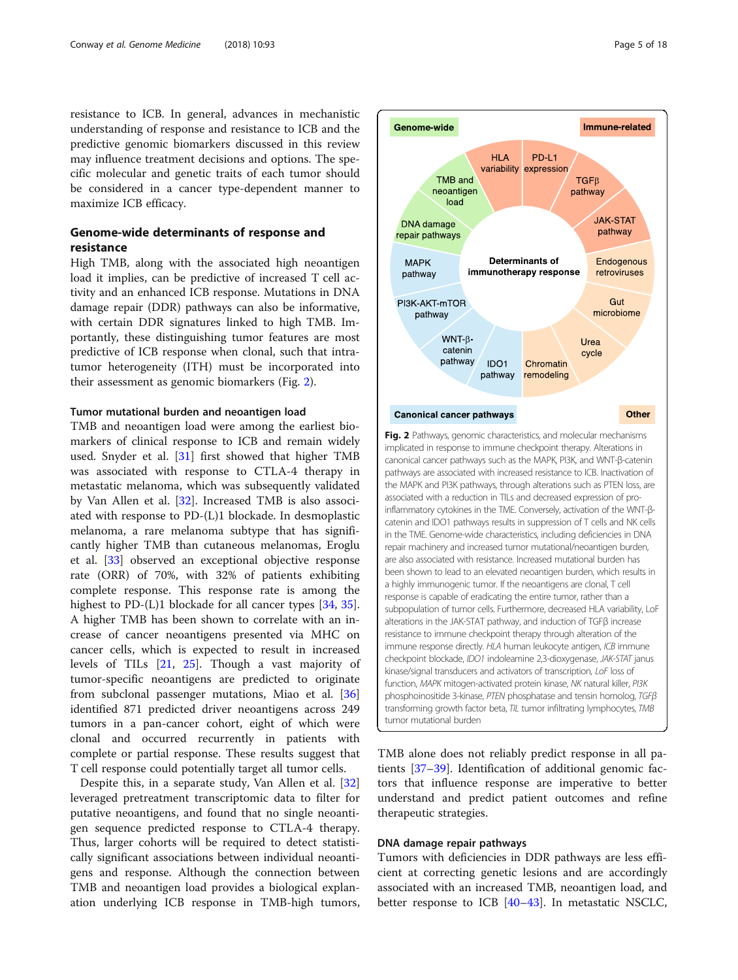<span id="page-4-0"></span>resistance to ICB. In general, advances in mechanistic understanding of response and resistance to ICB and the predictive genomic biomarkers discussed in this review may influence treatment decisions and options. The specific molecular and genetic traits of each tumor should be considered in a cancer type-dependent manner to maximize ICB efficacy.

# Genome-wide determinants of response and resistance

High TMB, along with the associated high neoantigen load it implies, can be predictive of increased T cell activity and an enhanced ICB response. Mutations in DNA damage repair (DDR) pathways can also be informative, with certain DDR signatures linked to high TMB. Importantly, these distinguishing tumor features are most predictive of ICB response when clonal, such that intratumor heterogeneity (ITH) must be incorporated into their assessment as genomic biomarkers (Fig. 2).

# Tumor mutational burden and neoantigen load

TMB and neoantigen load were among the earliest biomarkers of clinical response to ICB and remain widely used. Snyder et al. [\[31\]](#page-14-0) first showed that higher TMB was associated with response to CTLA-4 therapy in metastatic melanoma, which was subsequently validated by Van Allen et al. [\[32](#page-14-0)]. Increased TMB is also associated with response to PD-(L)1 blockade. In desmoplastic melanoma, a rare melanoma subtype that has significantly higher TMB than cutaneous melanomas, Eroglu et al. [[33\]](#page-14-0) observed an exceptional objective response rate (ORR) of 70%, with 32% of patients exhibiting complete response. This response rate is among the highest to PD-(L)1 blockade for all cancer types [\[34](#page-14-0), [35](#page-14-0)]. A higher TMB has been shown to correlate with an increase of cancer neoantigens presented via MHC on cancer cells, which is expected to result in increased levels of TILs [\[21](#page-13-0), [25\]](#page-14-0). Though a vast majority of tumor-specific neoantigens are predicted to originate from subclonal passenger mutations, Miao et al. [[36](#page-14-0)] identified 871 predicted driver neoantigens across 249 tumors in a pan-cancer cohort, eight of which were clonal and occurred recurrently in patients with complete or partial response. These results suggest that T cell response could potentially target all tumor cells.

Despite this, in a separate study, Van Allen et al. [[32](#page-14-0)] leveraged pretreatment transcriptomic data to filter for putative neoantigens, and found that no single neoantigen sequence predicted response to CTLA-4 therapy. Thus, larger cohorts will be required to detect statistically significant associations between individual neoantigens and response. Although the connection between TMB and neoantigen load provides a biological explanation underlying ICB response in TMB-high tumors,



TMB alone does not reliably predict response in all patients [[37](#page-14-0)–[39](#page-14-0)]. Identification of additional genomic factors that influence response are imperative to better understand and predict patient outcomes and refine therapeutic strategies.

# DNA damage repair pathways

Tumors with deficiencies in DDR pathways are less efficient at correcting genetic lesions and are accordingly associated with an increased TMB, neoantigen load, and better response to ICB  $[40-43]$  $[40-43]$  $[40-43]$  $[40-43]$  $[40-43]$ . In metastatic NSCLC,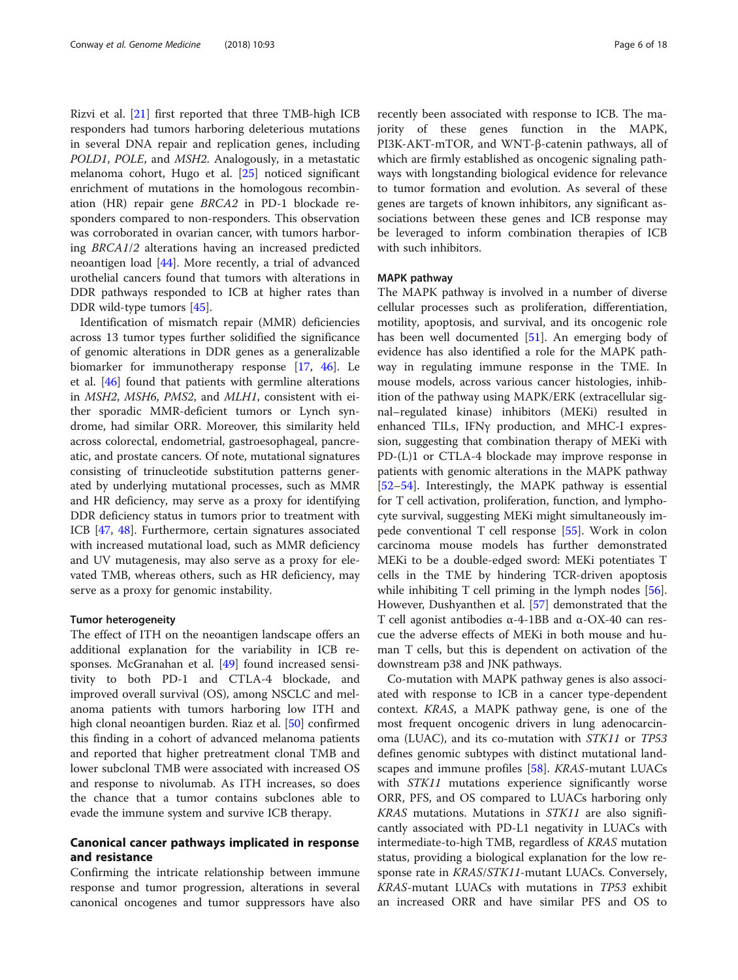Rizvi et al. [\[21\]](#page-13-0) first reported that three TMB-high ICB responders had tumors harboring deleterious mutations in several DNA repair and replication genes, including POLD1, POLE, and MSH2. Analogously, in a metastatic melanoma cohort, Hugo et al. [[25](#page-14-0)] noticed significant enrichment of mutations in the homologous recombination (HR) repair gene BRCA2 in PD-1 blockade responders compared to non-responders. This observation was corroborated in ovarian cancer, with tumors harboring BRCA1/2 alterations having an increased predicted neoantigen load [[44](#page-14-0)]. More recently, a trial of advanced urothelial cancers found that tumors with alterations in DDR pathways responded to ICB at higher rates than DDR wild-type tumors [\[45](#page-14-0)].

Identification of mismatch repair (MMR) deficiencies across 13 tumor types further solidified the significance of genomic alterations in DDR genes as a generalizable biomarker for immunotherapy response [[17](#page-13-0), [46\]](#page-14-0). Le et al. [[46](#page-14-0)] found that patients with germline alterations in MSH2, MSH6, PMS2, and MLH1, consistent with either sporadic MMR-deficient tumors or Lynch syndrome, had similar ORR. Moreover, this similarity held across colorectal, endometrial, gastroesophageal, pancreatic, and prostate cancers. Of note, mutational signatures consisting of trinucleotide substitution patterns generated by underlying mutational processes, such as MMR and HR deficiency, may serve as a proxy for identifying DDR deficiency status in tumors prior to treatment with ICB [[47](#page-14-0), [48](#page-14-0)]. Furthermore, certain signatures associated with increased mutational load, such as MMR deficiency and UV mutagenesis, may also serve as a proxy for elevated TMB, whereas others, such as HR deficiency, may serve as a proxy for genomic instability.

#### Tumor heterogeneity

The effect of ITH on the neoantigen landscape offers an additional explanation for the variability in ICB responses. McGranahan et al. [[49\]](#page-14-0) found increased sensitivity to both PD-1 and CTLA-4 blockade, and improved overall survival (OS), among NSCLC and melanoma patients with tumors harboring low ITH and high clonal neoantigen burden. Riaz et al. [[50\]](#page-14-0) confirmed this finding in a cohort of advanced melanoma patients and reported that higher pretreatment clonal TMB and lower subclonal TMB were associated with increased OS and response to nivolumab. As ITH increases, so does the chance that a tumor contains subclones able to evade the immune system and survive ICB therapy.

# Canonical cancer pathways implicated in response and resistance

Confirming the intricate relationship between immune response and tumor progression, alterations in several canonical oncogenes and tumor suppressors have also recently been associated with response to ICB. The majority of these genes function in the MAPK, PI3K-AKT-mTOR, and WNT-β-catenin pathways, all of which are firmly established as oncogenic signaling pathways with longstanding biological evidence for relevance to tumor formation and evolution. As several of these genes are targets of known inhibitors, any significant associations between these genes and ICB response may be leveraged to inform combination therapies of ICB with such inhibitors.

# MAPK pathway

The MAPK pathway is involved in a number of diverse cellular processes such as proliferation, differentiation, motility, apoptosis, and survival, and its oncogenic role has been well documented [[51](#page-14-0)]. An emerging body of evidence has also identified a role for the MAPK pathway in regulating immune response in the TME. In mouse models, across various cancer histologies, inhibition of the pathway using MAPK/ERK (extracellular signal–regulated kinase) inhibitors (MEKi) resulted in enhanced TILs, IFNγ production, and MHC-I expression, suggesting that combination therapy of MEKi with PD-(L)1 or CTLA-4 blockade may improve response in patients with genomic alterations in the MAPK pathway [[52](#page-14-0)–[54](#page-14-0)]. Interestingly, the MAPK pathway is essential for T cell activation, proliferation, function, and lymphocyte survival, suggesting MEKi might simultaneously impede conventional T cell response [\[55](#page-14-0)]. Work in colon carcinoma mouse models has further demonstrated MEKi to be a double-edged sword: MEKi potentiates T cells in the TME by hindering TCR-driven apoptosis while inhibiting T cell priming in the lymph nodes [\[56](#page-14-0)]. However, Dushyanthen et al. [\[57](#page-14-0)] demonstrated that the T cell agonist antibodies α-4-1BB and α-OX-40 can rescue the adverse effects of MEKi in both mouse and human T cells, but this is dependent on activation of the downstream p38 and JNK pathways.

Co-mutation with MAPK pathway genes is also associated with response to ICB in a cancer type-dependent context. KRAS, a MAPK pathway gene, is one of the most frequent oncogenic drivers in lung adenocarcinoma (LUAC), and its co-mutation with STK11 or TP53 defines genomic subtypes with distinct mutational landscapes and immune profiles [[58](#page-14-0)]. KRAS-mutant LUACs with STK11 mutations experience significantly worse ORR, PFS, and OS compared to LUACs harboring only KRAS mutations. Mutations in STK11 are also significantly associated with PD-L1 negativity in LUACs with intermediate-to-high TMB, regardless of KRAS mutation status, providing a biological explanation for the low response rate in KRAS/STK11-mutant LUACs. Conversely, KRAS-mutant LUACs with mutations in TP53 exhibit an increased ORR and have similar PFS and OS to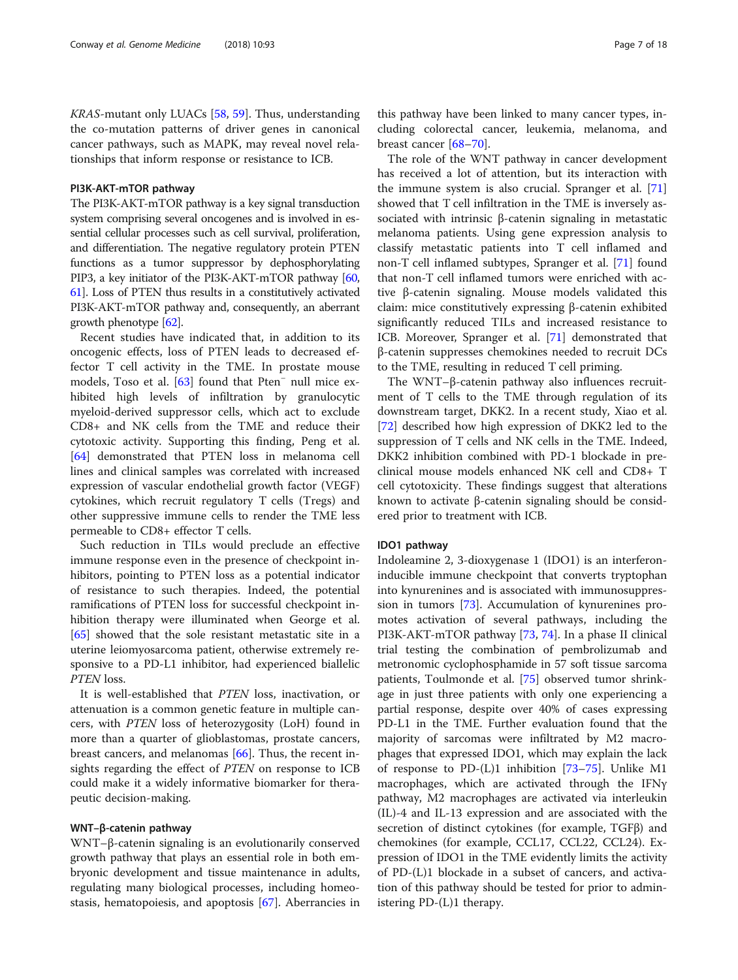KRAS-mutant only LUACs [[58,](#page-14-0) [59\]](#page-14-0). Thus, understanding the co-mutation patterns of driver genes in canonical cancer pathways, such as MAPK, may reveal novel relationships that inform response or resistance to ICB.

# PI3K-AKT-mTOR pathway

The PI3K-AKT-mTOR pathway is a key signal transduction system comprising several oncogenes and is involved in essential cellular processes such as cell survival, proliferation, and differentiation. The negative regulatory protein PTEN functions as a tumor suppressor by dephosphorylating PIP3, a key initiator of the PI3K-AKT-mTOR pathway [\[60](#page-14-0), [61](#page-14-0)]. Loss of PTEN thus results in a constitutively activated PI3K-AKT-mTOR pathway and, consequently, an aberrant growth phenotype [[62](#page-14-0)].

Recent studies have indicated that, in addition to its oncogenic effects, loss of PTEN leads to decreased effector T cell activity in the TME. In prostate mouse models, Toso et al. [[63](#page-14-0)] found that Pten<sup>−</sup> null mice exhibited high levels of infiltration by granulocytic myeloid-derived suppressor cells, which act to exclude CD8+ and NK cells from the TME and reduce their cytotoxic activity. Supporting this finding, Peng et al. [[64\]](#page-14-0) demonstrated that PTEN loss in melanoma cell lines and clinical samples was correlated with increased expression of vascular endothelial growth factor (VEGF) cytokines, which recruit regulatory T cells (Tregs) and other suppressive immune cells to render the TME less permeable to CD8+ effector T cells.

Such reduction in TILs would preclude an effective immune response even in the presence of checkpoint inhibitors, pointing to PTEN loss as a potential indicator of resistance to such therapies. Indeed, the potential ramifications of PTEN loss for successful checkpoint inhibition therapy were illuminated when George et al. [[65\]](#page-14-0) showed that the sole resistant metastatic site in a uterine leiomyosarcoma patient, otherwise extremely responsive to a PD-L1 inhibitor, had experienced biallelic PTEN loss.

It is well-established that PTEN loss, inactivation, or attenuation is a common genetic feature in multiple cancers, with PTEN loss of heterozygosity (LoH) found in more than a quarter of glioblastomas, prostate cancers, breast cancers, and melanomas [[66](#page-14-0)]. Thus, the recent insights regarding the effect of PTEN on response to ICB could make it a widely informative biomarker for therapeutic decision-making.

# WNT–β-catenin pathway

WNT–β-catenin signaling is an evolutionarily conserved growth pathway that plays an essential role in both embryonic development and tissue maintenance in adults, regulating many biological processes, including homeostasis, hematopoiesis, and apoptosis [[67](#page-14-0)]. Aberrancies in

this pathway have been linked to many cancer types, including colorectal cancer, leukemia, melanoma, and breast cancer [\[68](#page-14-0)–[70\]](#page-15-0).

The role of the WNT pathway in cancer development has received a lot of attention, but its interaction with the immune system is also crucial. Spranger et al. [[71](#page-15-0)] showed that T cell infiltration in the TME is inversely associated with intrinsic β-catenin signaling in metastatic melanoma patients. Using gene expression analysis to classify metastatic patients into T cell inflamed and non-T cell inflamed subtypes, Spranger et al. [\[71\]](#page-15-0) found that non-T cell inflamed tumors were enriched with active β-catenin signaling. Mouse models validated this claim: mice constitutively expressing β-catenin exhibited significantly reduced TILs and increased resistance to ICB. Moreover, Spranger et al. [\[71\]](#page-15-0) demonstrated that β-catenin suppresses chemokines needed to recruit DCs to the TME, resulting in reduced T cell priming.

The WNT–β-catenin pathway also influences recruitment of T cells to the TME through regulation of its downstream target, DKK2. In a recent study, Xiao et al. [[72\]](#page-15-0) described how high expression of DKK2 led to the suppression of T cells and NK cells in the TME. Indeed, DKK2 inhibition combined with PD-1 blockade in preclinical mouse models enhanced NK cell and CD8+ T cell cytotoxicity. These findings suggest that alterations known to activate β-catenin signaling should be considered prior to treatment with ICB.

#### IDO1 pathway

Indoleamine 2, 3-dioxygenase 1 (IDO1) is an interferoninducible immune checkpoint that converts tryptophan into kynurenines and is associated with immunosuppression in tumors [\[73](#page-15-0)]. Accumulation of kynurenines promotes activation of several pathways, including the PI3K-AKT-mTOR pathway [\[73](#page-15-0), [74](#page-15-0)]. In a phase II clinical trial testing the combination of pembrolizumab and metronomic cyclophosphamide in 57 soft tissue sarcoma patients, Toulmonde et al. [[75](#page-15-0)] observed tumor shrinkage in just three patients with only one experiencing a partial response, despite over 40% of cases expressing PD-L1 in the TME. Further evaluation found that the majority of sarcomas were infiltrated by M2 macrophages that expressed IDO1, which may explain the lack of response to PD-(L)1 inhibition [[73](#page-15-0)–[75\]](#page-15-0). Unlike M1 macrophages, which are activated through the IFNγ pathway, M2 macrophages are activated via interleukin (IL)-4 and IL-13 expression and are associated with the secretion of distinct cytokines (for example, TGFβ) and chemokines (for example, CCL17, CCL22, CCL24). Expression of IDO1 in the TME evidently limits the activity of PD-(L)1 blockade in a subset of cancers, and activation of this pathway should be tested for prior to administering PD-(L)1 therapy.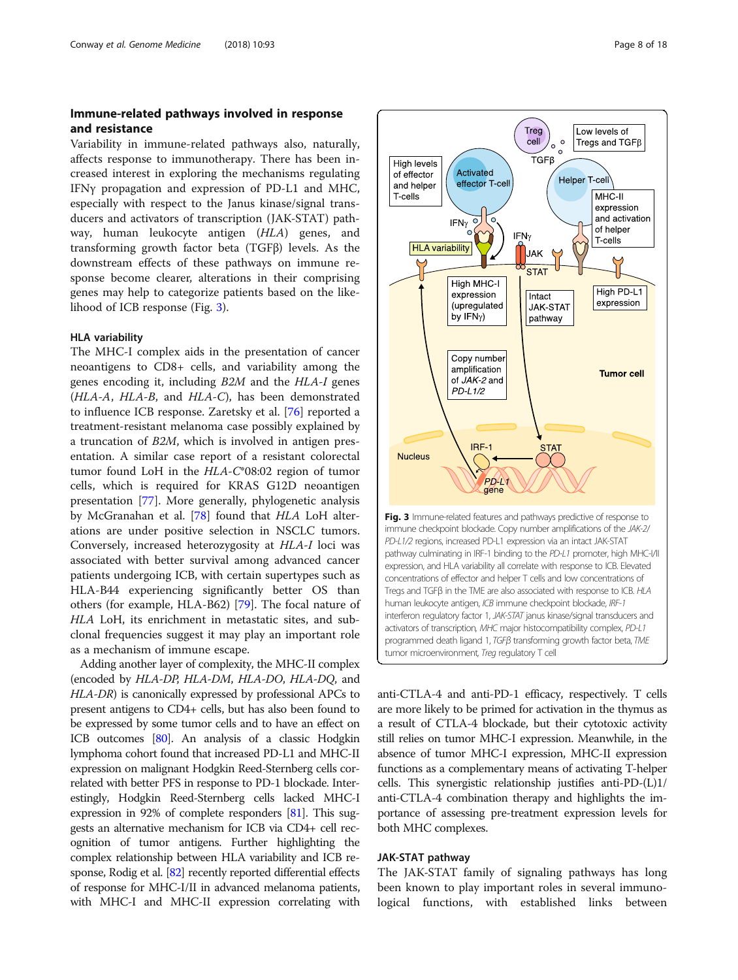# <span id="page-7-0"></span>Immune-related pathways involved in response and resistance

Variability in immune-related pathways also, naturally, affects response to immunotherapy. There has been increased interest in exploring the mechanisms regulating IFNγ propagation and expression of PD-L1 and MHC, especially with respect to the Janus kinase/signal transducers and activators of transcription (JAK-STAT) pathway, human leukocyte antigen (HLA) genes, and transforming growth factor beta (TGFβ) levels. As the downstream effects of these pathways on immune response become clearer, alterations in their comprising genes may help to categorize patients based on the likelihood of ICB response (Fig. 3).

# HLA variability

The MHC-I complex aids in the presentation of cancer neoantigens to CD8+ cells, and variability among the genes encoding it, including B2M and the HLA-I genes (HLA-A, HLA-B, and HLA-C), has been demonstrated to influence ICB response. Zaretsky et al. [\[76](#page-15-0)] reported a treatment-resistant melanoma case possibly explained by a truncation of B2M, which is involved in antigen presentation. A similar case report of a resistant colorectal tumor found LoH in the HLA-C\*08:02 region of tumor cells, which is required for KRAS G12D neoantigen presentation [[77\]](#page-15-0). More generally, phylogenetic analysis by McGranahan et al. [[78\]](#page-15-0) found that HLA LoH alterations are under positive selection in NSCLC tumors. Conversely, increased heterozygosity at HLA-I loci was associated with better survival among advanced cancer patients undergoing ICB, with certain supertypes such as HLA-B44 experiencing significantly better OS than others (for example, HLA-B62) [\[79](#page-15-0)]. The focal nature of HLA LoH, its enrichment in metastatic sites, and subclonal frequencies suggest it may play an important role as a mechanism of immune escape.

Adding another layer of complexity, the MHC-II complex (encoded by HLA-DP, HLA-DM, HLA-DO, HLA-DQ, and HLA-DR) is canonically expressed by professional APCs to present antigens to CD4+ cells, but has also been found to be expressed by some tumor cells and to have an effect on ICB outcomes [[80](#page-15-0)]. An analysis of a classic Hodgkin lymphoma cohort found that increased PD-L1 and MHC-II expression on malignant Hodgkin Reed-Sternberg cells correlated with better PFS in response to PD-1 blockade. Interestingly, Hodgkin Reed-Sternberg cells lacked MHC-I expression in 92% of complete responders [\[81\]](#page-15-0). This suggests an alternative mechanism for ICB via CD4+ cell recognition of tumor antigens. Further highlighting the complex relationship between HLA variability and ICB response, Rodig et al. [\[82](#page-15-0)] recently reported differential effects of response for MHC-I/II in advanced melanoma patients, with MHC-I and MHC-II expression correlating with



anti-CTLA-4 and anti-PD-1 efficacy, respectively. T cells are more likely to be primed for activation in the thymus as a result of CTLA-4 blockade, but their cytotoxic activity still relies on tumor MHC-I expression. Meanwhile, in the absence of tumor MHC-I expression, MHC-II expression functions as a complementary means of activating T-helper cells. This synergistic relationship justifies anti-PD-(L)1/ anti-CTLA-4 combination therapy and highlights the importance of assessing pre-treatment expression levels for both MHC complexes.

# JAK-STAT pathway

The JAK-STAT family of signaling pathways has long been known to play important roles in several immunological functions, with established links between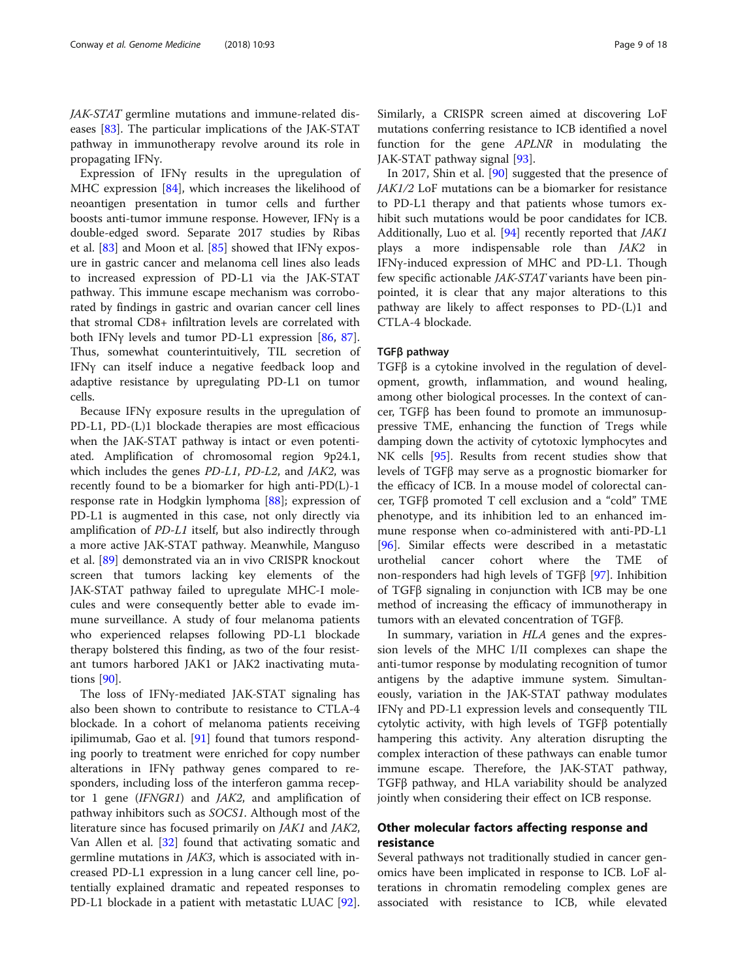JAK-STAT germline mutations and immune-related diseases [\[83](#page-15-0)]. The particular implications of the JAK-STAT pathway in immunotherapy revolve around its role in propagating IFNγ.

Expression of IFNγ results in the upregulation of MHC expression [[84\]](#page-15-0), which increases the likelihood of neoantigen presentation in tumor cells and further boosts anti-tumor immune response. However, IFNγ is a double-edged sword. Separate 2017 studies by Ribas et al. [[83\]](#page-15-0) and Moon et al. [[85\]](#page-15-0) showed that IFNγ exposure in gastric cancer and melanoma cell lines also leads to increased expression of PD-L1 via the JAK-STAT pathway. This immune escape mechanism was corroborated by findings in gastric and ovarian cancer cell lines that stromal CD8+ infiltration levels are correlated with both IFNγ levels and tumor PD-L1 expression [\[86](#page-15-0), [87](#page-15-0)]. Thus, somewhat counterintuitively, TIL secretion of IFNγ can itself induce a negative feedback loop and adaptive resistance by upregulating PD-L1 on tumor cells.

Because IFNγ exposure results in the upregulation of PD-L1, PD-(L)1 blockade therapies are most efficacious when the JAK-STAT pathway is intact or even potentiated. Amplification of chromosomal region 9p24.1, which includes the genes PD-L1, PD-L2, and JAK2, was recently found to be a biomarker for high anti-PD(L)-1 response rate in Hodgkin lymphoma [[88\]](#page-15-0); expression of PD-L1 is augmented in this case, not only directly via amplification of PD-L1 itself, but also indirectly through a more active JAK-STAT pathway. Meanwhile, Manguso et al. [[89\]](#page-15-0) demonstrated via an in vivo CRISPR knockout screen that tumors lacking key elements of the JAK-STAT pathway failed to upregulate MHC-I molecules and were consequently better able to evade immune surveillance. A study of four melanoma patients who experienced relapses following PD-L1 blockade therapy bolstered this finding, as two of the four resistant tumors harbored JAK1 or JAK2 inactivating mutations [[90\]](#page-15-0).

The loss of IFNγ-mediated JAK-STAT signaling has also been shown to contribute to resistance to CTLA-4 blockade. In a cohort of melanoma patients receiving ipilimumab, Gao et al. [[91\]](#page-15-0) found that tumors responding poorly to treatment were enriched for copy number alterations in IFNγ pathway genes compared to responders, including loss of the interferon gamma receptor 1 gene (IFNGR1) and JAK2, and amplification of pathway inhibitors such as SOCS1. Although most of the literature since has focused primarily on JAK1 and JAK2, Van Allen et al. [[32\]](#page-14-0) found that activating somatic and germline mutations in JAK3, which is associated with increased PD-L1 expression in a lung cancer cell line, potentially explained dramatic and repeated responses to PD-L1 blockade in a patient with metastatic LUAC [\[92](#page-15-0)]. Similarly, a CRISPR screen aimed at discovering LoF mutations conferring resistance to ICB identified a novel function for the gene APLNR in modulating the JAK-STAT pathway signal [\[93\]](#page-15-0).

In 2017, Shin et al. [\[90](#page-15-0)] suggested that the presence of JAK1/2 LoF mutations can be a biomarker for resistance to PD-L1 therapy and that patients whose tumors exhibit such mutations would be poor candidates for ICB. Additionally, Luo et al. [\[94\]](#page-15-0) recently reported that JAK1 plays a more indispensable role than JAK2 in IFNγ-induced expression of MHC and PD-L1. Though few specific actionable JAK-STAT variants have been pinpointed, it is clear that any major alterations to this pathway are likely to affect responses to PD-(L)1 and CTLA-4 blockade.

# TGFβ pathway

TGFβ is a cytokine involved in the regulation of development, growth, inflammation, and wound healing, among other biological processes. In the context of cancer, TGFβ has been found to promote an immunosuppressive TME, enhancing the function of Tregs while damping down the activity of cytotoxic lymphocytes and NK cells [[95](#page-15-0)]. Results from recent studies show that levels of TGFβ may serve as a prognostic biomarker for the efficacy of ICB. In a mouse model of colorectal cancer, TGFβ promoted T cell exclusion and a "cold" TME phenotype, and its inhibition led to an enhanced immune response when co-administered with anti-PD-L1 [[96\]](#page-15-0). Similar effects were described in a metastatic urothelial cancer cohort where the TME of non-responders had high levels of TGFβ [[97](#page-15-0)]. Inhibition of TGFβ signaling in conjunction with ICB may be one method of increasing the efficacy of immunotherapy in tumors with an elevated concentration of TGFβ.

In summary, variation in HLA genes and the expression levels of the MHC I/II complexes can shape the anti-tumor response by modulating recognition of tumor antigens by the adaptive immune system. Simultaneously, variation in the JAK-STAT pathway modulates IFNγ and PD-L1 expression levels and consequently TIL cytolytic activity, with high levels of TGFβ potentially hampering this activity. Any alteration disrupting the complex interaction of these pathways can enable tumor immune escape. Therefore, the JAK-STAT pathway, TGFβ pathway, and HLA variability should be analyzed jointly when considering their effect on ICB response.

# Other molecular factors affecting response and resistance

Several pathways not traditionally studied in cancer genomics have been implicated in response to ICB. LoF alterations in chromatin remodeling complex genes are associated with resistance to ICB, while elevated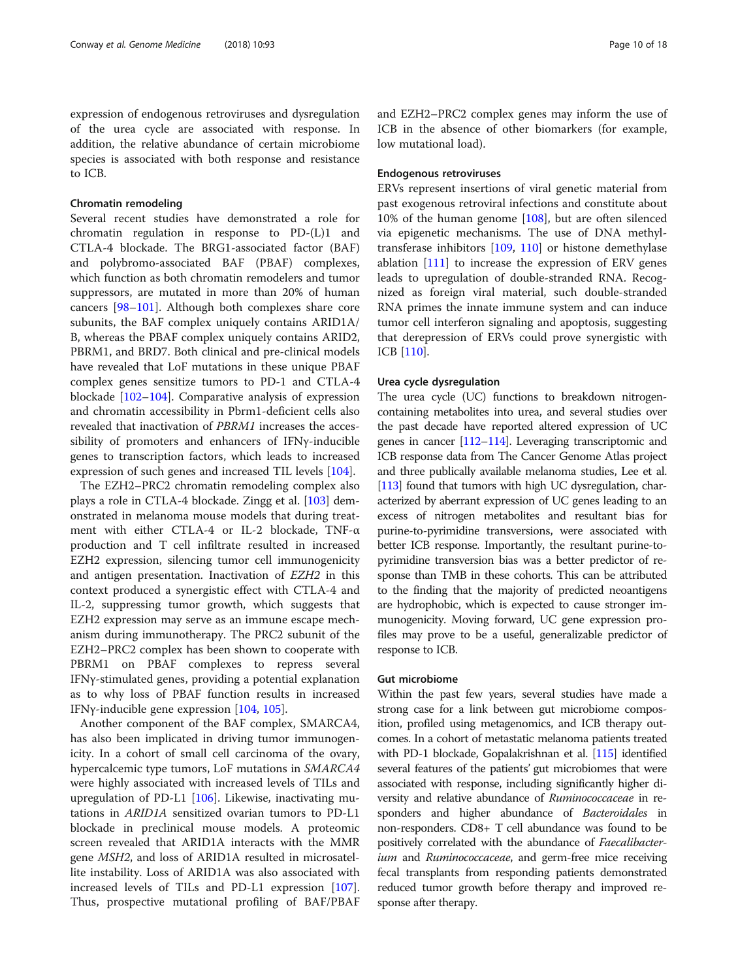expression of endogenous retroviruses and dysregulation of the urea cycle are associated with response. In addition, the relative abundance of certain microbiome species is associated with both response and resistance to ICB.

# Chromatin remodeling

Several recent studies have demonstrated a role for chromatin regulation in response to PD-(L)1 and CTLA-4 blockade. The BRG1-associated factor (BAF) and polybromo-associated BAF (PBAF) complexes, which function as both chromatin remodelers and tumor suppressors, are mutated in more than 20% of human cancers [[98](#page-15-0)–[101](#page-15-0)]. Although both complexes share core subunits, the BAF complex uniquely contains ARID1A/ B, whereas the PBAF complex uniquely contains ARID2, PBRM1, and BRD7. Both clinical and pre-clinical models have revealed that LoF mutations in these unique PBAF complex genes sensitize tumors to PD-1 and CTLA-4 blockade [[102](#page-15-0)–[104](#page-15-0)]. Comparative analysis of expression and chromatin accessibility in Pbrm1-deficient cells also revealed that inactivation of PBRM1 increases the accessibility of promoters and enhancers of IFNγ-inducible genes to transcription factors, which leads to increased expression of such genes and increased TIL levels [[104\]](#page-15-0).

The EZH2–PRC2 chromatin remodeling complex also plays a role in CTLA-4 blockade. Zingg et al. [\[103](#page-15-0)] demonstrated in melanoma mouse models that during treatment with either CTLA-4 or IL-2 blockade, TNF-α production and T cell infiltrate resulted in increased EZH2 expression, silencing tumor cell immunogenicity and antigen presentation. Inactivation of EZH2 in this context produced a synergistic effect with CTLA-4 and IL-2, suppressing tumor growth, which suggests that EZH2 expression may serve as an immune escape mechanism during immunotherapy. The PRC2 subunit of the EZH2–PRC2 complex has been shown to cooperate with PBRM1 on PBAF complexes to repress several IFNγ-stimulated genes, providing a potential explanation as to why loss of PBAF function results in increased IFNγ-inducible gene expression [\[104](#page-15-0), [105\]](#page-15-0).

Another component of the BAF complex, SMARCA4, has also been implicated in driving tumor immunogenicity. In a cohort of small cell carcinoma of the ovary, hypercalcemic type tumors, LoF mutations in SMARCA4 were highly associated with increased levels of TILs and upregulation of PD-L1 [[106](#page-15-0)]. Likewise, inactivating mutations in ARID1A sensitized ovarian tumors to PD-L1 blockade in preclinical mouse models. A proteomic screen revealed that ARID1A interacts with the MMR gene MSH2, and loss of ARID1A resulted in microsatellite instability. Loss of ARID1A was also associated with increased levels of TILs and PD-L1 expression [\[107](#page-15-0)]. Thus, prospective mutational profiling of BAF/PBAF and EZH2–PRC2 complex genes may inform the use of ICB in the absence of other biomarkers (for example, low mutational load).

# Endogenous retroviruses

ERVs represent insertions of viral genetic material from past exogenous retroviral infections and constitute about 10% of the human genome [\[108](#page-15-0)], but are often silenced via epigenetic mechanisms. The use of DNA methyltransferase inhibitors [\[109,](#page-15-0) [110\]](#page-15-0) or histone demethylase ablation [[111\]](#page-15-0) to increase the expression of ERV genes leads to upregulation of double-stranded RNA. Recognized as foreign viral material, such double-stranded RNA primes the innate immune system and can induce tumor cell interferon signaling and apoptosis, suggesting that derepression of ERVs could prove synergistic with ICB [[110](#page-15-0)].

#### Urea cycle dysregulation

The urea cycle (UC) functions to breakdown nitrogencontaining metabolites into urea, and several studies over the past decade have reported altered expression of UC genes in cancer [\[112](#page-15-0)–[114](#page-15-0)]. Leveraging transcriptomic and ICB response data from The Cancer Genome Atlas project and three publically available melanoma studies, Lee et al. [[113\]](#page-15-0) found that tumors with high UC dysregulation, characterized by aberrant expression of UC genes leading to an excess of nitrogen metabolites and resultant bias for purine-to-pyrimidine transversions, were associated with better ICB response. Importantly, the resultant purine-topyrimidine transversion bias was a better predictor of response than TMB in these cohorts. This can be attributed to the finding that the majority of predicted neoantigens are hydrophobic, which is expected to cause stronger immunogenicity. Moving forward, UC gene expression profiles may prove to be a useful, generalizable predictor of response to ICB.

### Gut microbiome

Within the past few years, several studies have made a strong case for a link between gut microbiome composition, profiled using metagenomics, and ICB therapy outcomes. In a cohort of metastatic melanoma patients treated with PD-1 blockade, Gopalakrishnan et al. [\[115](#page-15-0)] identified several features of the patients' gut microbiomes that were associated with response, including significantly higher diversity and relative abundance of Ruminococcaceae in responders and higher abundance of Bacteroidales in non-responders. CD8+ T cell abundance was found to be positively correlated with the abundance of Faecalibacterium and Ruminococcaceae, and germ-free mice receiving fecal transplants from responding patients demonstrated reduced tumor growth before therapy and improved response after therapy.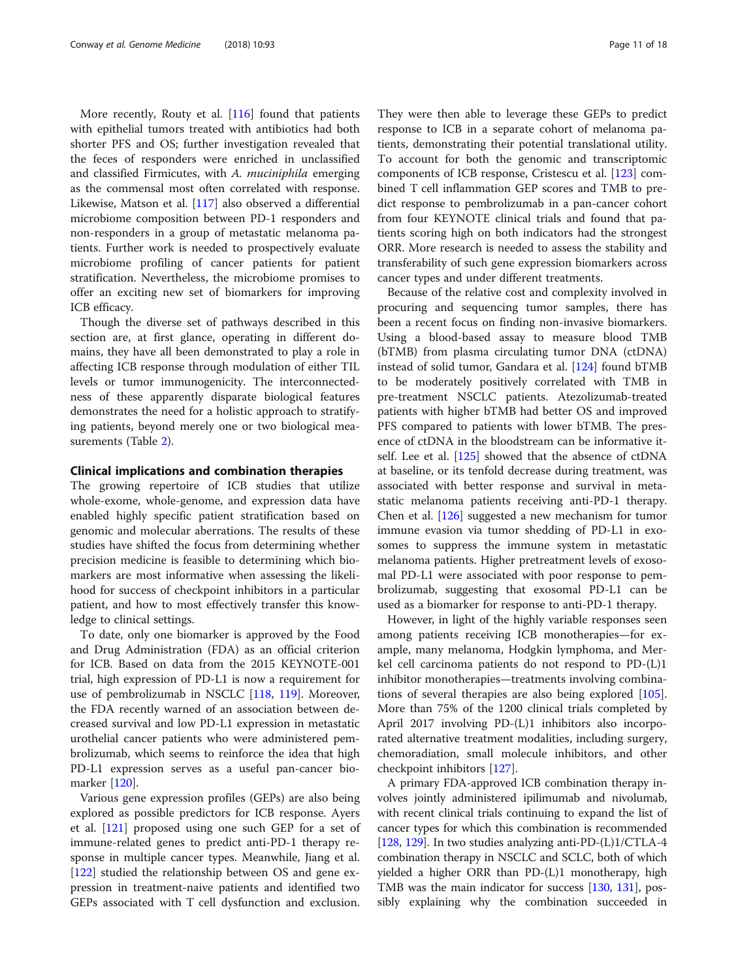More recently, Routy et al. [\[116](#page-15-0)] found that patients with epithelial tumors treated with antibiotics had both shorter PFS and OS; further investigation revealed that the feces of responders were enriched in unclassified and classified Firmicutes, with A. muciniphila emerging as the commensal most often correlated with response. Likewise, Matson et al. [\[117](#page-15-0)] also observed a differential microbiome composition between PD-1 responders and non-responders in a group of metastatic melanoma patients. Further work is needed to prospectively evaluate microbiome profiling of cancer patients for patient stratification. Nevertheless, the microbiome promises to offer an exciting new set of biomarkers for improving ICB efficacy.

Though the diverse set of pathways described in this section are, at first glance, operating in different domains, they have all been demonstrated to play a role in affecting ICB response through modulation of either TIL levels or tumor immunogenicity. The interconnectedness of these apparently disparate biological features demonstrates the need for a holistic approach to stratifying patients, beyond merely one or two biological measurements (Table [2](#page-11-0)).

#### Clinical implications and combination therapies

The growing repertoire of ICB studies that utilize whole-exome, whole-genome, and expression data have enabled highly specific patient stratification based on genomic and molecular aberrations. The results of these studies have shifted the focus from determining whether precision medicine is feasible to determining which biomarkers are most informative when assessing the likelihood for success of checkpoint inhibitors in a particular patient, and how to most effectively transfer this knowledge to clinical settings.

To date, only one biomarker is approved by the Food and Drug Administration (FDA) as an official criterion for ICB. Based on data from the 2015 KEYNOTE-001 trial, high expression of PD-L1 is now a requirement for use of pembrolizumab in NSCLC [\[118](#page-16-0), [119\]](#page-16-0). Moreover, the FDA recently warned of an association between decreased survival and low PD-L1 expression in metastatic urothelial cancer patients who were administered pembrolizumab, which seems to reinforce the idea that high PD-L1 expression serves as a useful pan-cancer biomarker [\[120\]](#page-16-0).

Various gene expression profiles (GEPs) are also being explored as possible predictors for ICB response. Ayers et al. [\[121](#page-16-0)] proposed using one such GEP for a set of immune-related genes to predict anti-PD-1 therapy response in multiple cancer types. Meanwhile, Jiang et al. [[122\]](#page-16-0) studied the relationship between OS and gene expression in treatment-naive patients and identified two GEPs associated with T cell dysfunction and exclusion.

They were then able to leverage these GEPs to predict response to ICB in a separate cohort of melanoma patients, demonstrating their potential translational utility. To account for both the genomic and transcriptomic components of ICB response, Cristescu et al. [\[123](#page-16-0)] combined T cell inflammation GEP scores and TMB to predict response to pembrolizumab in a pan-cancer cohort from four KEYNOTE clinical trials and found that patients scoring high on both indicators had the strongest ORR. More research is needed to assess the stability and transferability of such gene expression biomarkers across cancer types and under different treatments.

Because of the relative cost and complexity involved in procuring and sequencing tumor samples, there has been a recent focus on finding non-invasive biomarkers. Using a blood-based assay to measure blood TMB (bTMB) from plasma circulating tumor DNA (ctDNA) instead of solid tumor, Gandara et al. [[124](#page-16-0)] found bTMB to be moderately positively correlated with TMB in pre-treatment NSCLC patients. Atezolizumab-treated patients with higher bTMB had better OS and improved PFS compared to patients with lower bTMB. The presence of ctDNA in the bloodstream can be informative itself. Lee et al. [[125](#page-16-0)] showed that the absence of ctDNA at baseline, or its tenfold decrease during treatment, was associated with better response and survival in metastatic melanoma patients receiving anti-PD-1 therapy. Chen et al. [\[126](#page-16-0)] suggested a new mechanism for tumor immune evasion via tumor shedding of PD-L1 in exosomes to suppress the immune system in metastatic melanoma patients. Higher pretreatment levels of exosomal PD-L1 were associated with poor response to pembrolizumab, suggesting that exosomal PD-L1 can be used as a biomarker for response to anti-PD-1 therapy.

However, in light of the highly variable responses seen among patients receiving ICB monotherapies—for example, many melanoma, Hodgkin lymphoma, and Merkel cell carcinoma patients do not respond to PD-(L)1 inhibitor monotherapies—treatments involving combinations of several therapies are also being explored [[105](#page-15-0)]. More than 75% of the 1200 clinical trials completed by April 2017 involving PD-(L)1 inhibitors also incorporated alternative treatment modalities, including surgery, chemoradiation, small molecule inhibitors, and other checkpoint inhibitors [[127\]](#page-16-0).

A primary FDA-approved ICB combination therapy involves jointly administered ipilimumab and nivolumab, with recent clinical trials continuing to expand the list of cancer types for which this combination is recommended [[128](#page-16-0), [129\]](#page-16-0). In two studies analyzing anti-PD-(L)1/CTLA-4 combination therapy in NSCLC and SCLC, both of which yielded a higher ORR than PD-(L)1 monotherapy, high TMB was the main indicator for success [[130](#page-16-0), [131](#page-16-0)], possibly explaining why the combination succeeded in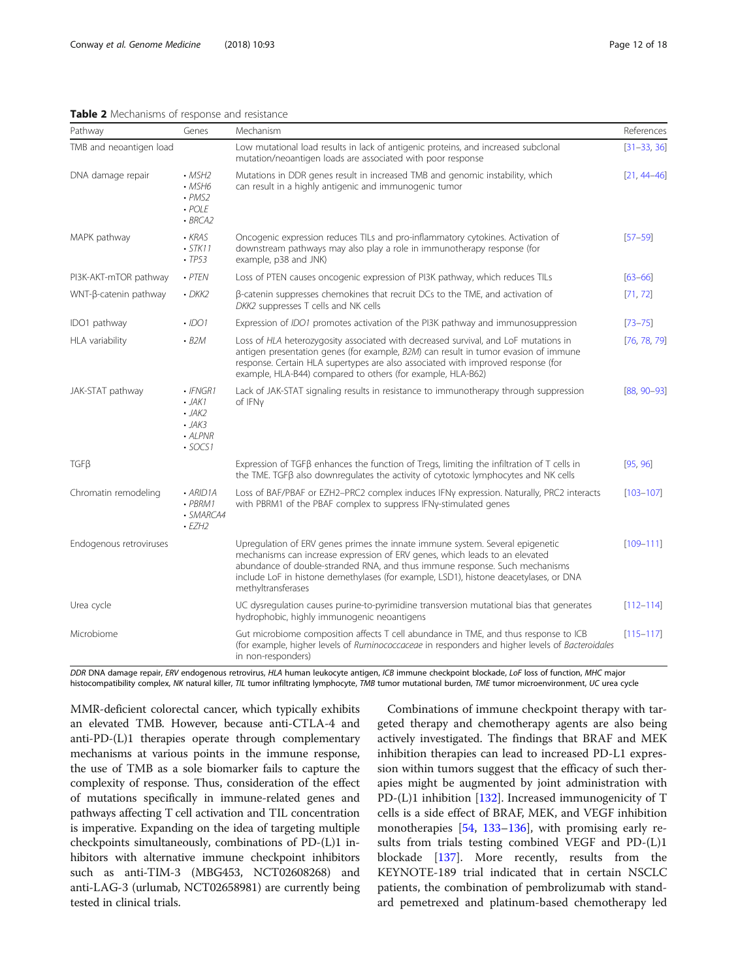# <span id="page-11-0"></span>Table 2 Mechanisms of response and resistance

| Pathway                 | Genes                                                                                      | Mechanism                                                                                                                                                                                                                                                                                                                                                  | References      |
|-------------------------|--------------------------------------------------------------------------------------------|------------------------------------------------------------------------------------------------------------------------------------------------------------------------------------------------------------------------------------------------------------------------------------------------------------------------------------------------------------|-----------------|
| TMB and neoantigen load |                                                                                            | Low mutational load results in lack of antigenic proteins, and increased subclonal<br>mutation/neoantigen loads are associated with poor response                                                                                                                                                                                                          | $[31 - 33, 36]$ |
| DNA damage repair       | $\cdot$ MSH <sub>2</sub><br>$·$ MSH6<br>$\cdot$ PMS2<br>. POLE<br>$-BRCA2$                 | Mutations in DDR genes result in increased TMB and genomic instability, which<br>can result in a highly antigenic and immunogenic tumor                                                                                                                                                                                                                    | $[21, 44 - 46]$ |
| MAPK pathway            | KRAS<br>$\cdot$ STK11<br>$-TP53$                                                           | Oncogenic expression reduces TILs and pro-inflammatory cytokines. Activation of<br>downstream pathways may also play a role in immunotherapy response (for<br>example, p38 and JNK)                                                                                                                                                                        | $[57 - 59]$     |
| PI3K-AKT-mTOR pathway   | $·$ PTEN                                                                                   | Loss of PTEN causes oncogenic expression of PI3K pathway, which reduces TILs                                                                                                                                                                                                                                                                               | $[63 - 66]$     |
| WNT-β-catenin pathway   | $\cdot$ DKK2                                                                               | $\beta$ -catenin suppresses chemokines that recruit DCs to the TME, and activation of<br>DKK2 suppresses T cells and NK cells                                                                                                                                                                                                                              | [71, 72]        |
| IDO1 pathway            | $\cdot$ IDO1                                                                               | Expression of IDO1 promotes activation of the PI3K pathway and immunosuppression                                                                                                                                                                                                                                                                           | $[73 - 75]$     |
| HLA variability         | $-B2M$                                                                                     | Loss of HLA heterozygosity associated with decreased survival, and LoF mutations in<br>antigen presentation genes (for example, B2M) can result in tumor evasion of immune<br>response. Certain HLA supertypes are also associated with improved response (for<br>example, HLA-B44) compared to others (for example, HLA-B62)                              | [76, 78, 79]    |
| JAK-STAT pathway        | $\cdot$ IFNGR1<br>$\cdot$ JAK1<br>$\cdot$ JAK2<br>$\cdot$ JAK3<br>· ALPNR<br>$\cdot$ SOCS1 | Lack of JAK-STAT signaling results in resistance to immunotherapy through suppression<br>of IFNy                                                                                                                                                                                                                                                           | $[88, 90 - 93]$ |
| $TGF\beta$              |                                                                                            | Expression of TGFB enhances the function of Tregs, limiting the infiltration of T cells in<br>the TME. TGFB also downregulates the activity of cytotoxic lymphocytes and NK cells                                                                                                                                                                          | [95, 96]        |
| Chromatin remodeling    | $\cdot$ ARID1A<br>$\cdot$ PBRM1<br>· SMARCA4<br>$-EZH2$                                    | Loss of BAF/PBAF or EZH2-PRC2 complex induces IFNy expression. Naturally, PRC2 interacts<br>with PBRM1 of the PBAF complex to suppress IFNy-stimulated genes                                                                                                                                                                                               | $[103 - 107]$   |
| Endogenous retroviruses |                                                                                            | Upregulation of ERV genes primes the innate immune system. Several epigenetic<br>mechanisms can increase expression of ERV genes, which leads to an elevated<br>abundance of double-stranded RNA, and thus immune response. Such mechanisms<br>include LoF in histone demethylases (for example, LSD1), histone deacetylases, or DNA<br>methyltransferases | $[109 - 111]$   |
| Urea cycle              |                                                                                            | UC dysregulation causes purine-to-pyrimidine transversion mutational bias that generates<br>hydrophobic, highly immunogenic neoantigens                                                                                                                                                                                                                    | $[112 - 114]$   |
| Microbiome              |                                                                                            | Gut microbiome composition affects T cell abundance in TME, and thus response to ICB<br>(for example, higher levels of Ruminococcaceae in responders and higher levels of Bacteroidales<br>in non-responders)                                                                                                                                              | $[115 - 117]$   |

DDR DNA damage repair, ERV endogenous retrovirus, HLA human leukocyte antigen, ICB immune checkpoint blockade, LoF loss of function, MHC major histocompatibility complex, NK natural killer, TIL tumor infiltrating lymphocyte, TMB tumor mutational burden, TME tumor microenvironment, UC urea cycle

MMR-deficient colorectal cancer, which typically exhibits an elevated TMB. However, because anti-CTLA-4 and anti-PD-(L)1 therapies operate through complementary mechanisms at various points in the immune response, the use of TMB as a sole biomarker fails to capture the complexity of response. Thus, consideration of the effect of mutations specifically in immune-related genes and pathways affecting T cell activation and TIL concentration is imperative. Expanding on the idea of targeting multiple checkpoints simultaneously, combinations of PD-(L)1 inhibitors with alternative immune checkpoint inhibitors such as anti-TIM-3 (MBG453, NCT02608268) and anti-LAG-3 (urlumab, NCT02658981) are currently being tested in clinical trials.

Combinations of immune checkpoint therapy with targeted therapy and chemotherapy agents are also being actively investigated. The findings that BRAF and MEK inhibition therapies can lead to increased PD-L1 expression within tumors suggest that the efficacy of such therapies might be augmented by joint administration with PD-(L)1 inhibition [[132](#page-16-0)]. Increased immunogenicity of T cells is a side effect of BRAF, MEK, and VEGF inhibition monotherapies [\[54,](#page-14-0) [133](#page-16-0)–[136](#page-16-0)], with promising early results from trials testing combined VEGF and PD-(L)1 blockade [[137](#page-16-0)]. More recently, results from the KEYNOTE-189 trial indicated that in certain NSCLC patients, the combination of pembrolizumab with standard pemetrexed and platinum-based chemotherapy led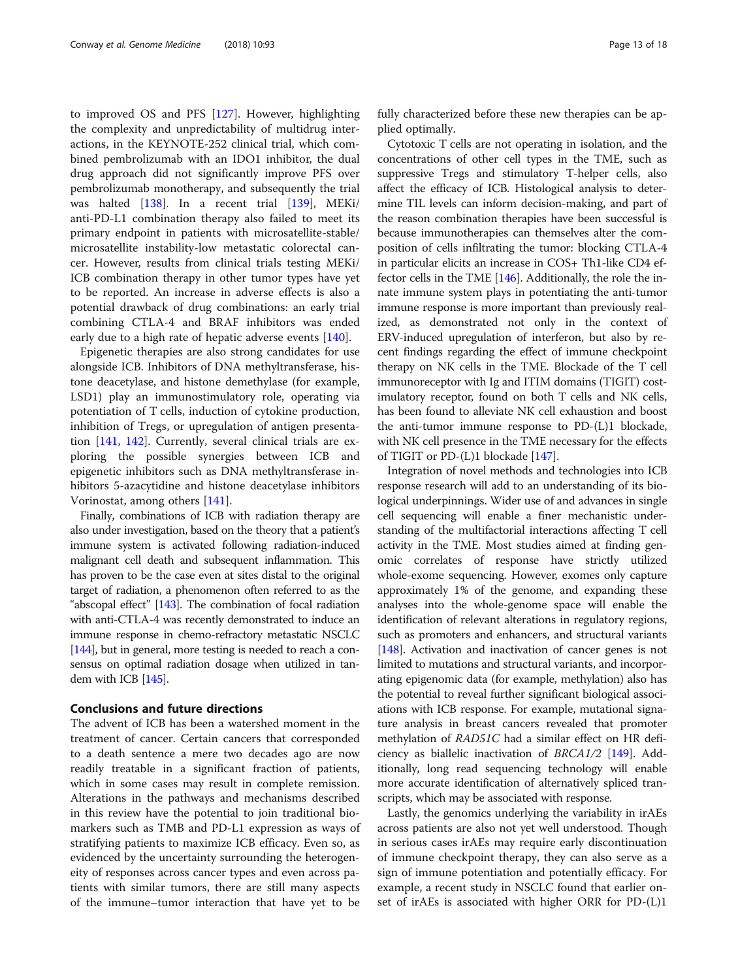to improved OS and PFS [\[127\]](#page-16-0). However, highlighting the complexity and unpredictability of multidrug interactions, in the KEYNOTE-252 clinical trial, which combined pembrolizumab with an IDO1 inhibitor, the dual drug approach did not significantly improve PFS over pembrolizumab monotherapy, and subsequently the trial was halted [\[138](#page-16-0)]. In a recent trial [\[139\]](#page-16-0), MEKi/ anti-PD-L1 combination therapy also failed to meet its primary endpoint in patients with microsatellite-stable/ microsatellite instability-low metastatic colorectal cancer. However, results from clinical trials testing MEKi/ ICB combination therapy in other tumor types have yet to be reported. An increase in adverse effects is also a potential drawback of drug combinations: an early trial combining CTLA-4 and BRAF inhibitors was ended early due to a high rate of hepatic adverse events [[140](#page-16-0)].

Epigenetic therapies are also strong candidates for use alongside ICB. Inhibitors of DNA methyltransferase, histone deacetylase, and histone demethylase (for example, LSD1) play an immunostimulatory role, operating via potentiation of T cells, induction of cytokine production, inhibition of Tregs, or upregulation of antigen presentation [\[141](#page-16-0), [142](#page-16-0)]. Currently, several clinical trials are exploring the possible synergies between ICB and epigenetic inhibitors such as DNA methyltransferase inhibitors 5-azacytidine and histone deacetylase inhibitors Vorinostat, among others [\[141](#page-16-0)].

Finally, combinations of ICB with radiation therapy are also under investigation, based on the theory that a patient's immune system is activated following radiation-induced malignant cell death and subsequent inflammation. This has proven to be the case even at sites distal to the original target of radiation, a phenomenon often referred to as the "abscopal effect" [\[143](#page-16-0)]. The combination of focal radiation with anti-CTLA-4 was recently demonstrated to induce an immune response in chemo-refractory metastatic NSCLC [[144\]](#page-16-0), but in general, more testing is needed to reach a consensus on optimal radiation dosage when utilized in tandem with ICB [\[145](#page-16-0)].

# Conclusions and future directions

The advent of ICB has been a watershed moment in the treatment of cancer. Certain cancers that corresponded to a death sentence a mere two decades ago are now readily treatable in a significant fraction of patients, which in some cases may result in complete remission. Alterations in the pathways and mechanisms described in this review have the potential to join traditional biomarkers such as TMB and PD-L1 expression as ways of stratifying patients to maximize ICB efficacy. Even so, as evidenced by the uncertainty surrounding the heterogeneity of responses across cancer types and even across patients with similar tumors, there are still many aspects of the immune–tumor interaction that have yet to be fully characterized before these new therapies can be applied optimally.

Cytotoxic T cells are not operating in isolation, and the concentrations of other cell types in the TME, such as suppressive Tregs and stimulatory T-helper cells, also affect the efficacy of ICB. Histological analysis to determine TIL levels can inform decision-making, and part of the reason combination therapies have been successful is because immunotherapies can themselves alter the composition of cells infiltrating the tumor: blocking CTLA-4 in particular elicits an increase in COS+ Th1-like CD4 effector cells in the TME [\[146\]](#page-16-0). Additionally, the role the innate immune system plays in potentiating the anti-tumor immune response is more important than previously realized, as demonstrated not only in the context of ERV-induced upregulation of interferon, but also by recent findings regarding the effect of immune checkpoint therapy on NK cells in the TME. Blockade of the T cell immunoreceptor with Ig and ITIM domains (TIGIT) costimulatory receptor, found on both T cells and NK cells, has been found to alleviate NK cell exhaustion and boost the anti-tumor immune response to PD-(L)1 blockade, with NK cell presence in the TME necessary for the effects of TIGIT or PD-(L)1 blockade [[147](#page-16-0)].

Integration of novel methods and technologies into ICB response research will add to an understanding of its biological underpinnings. Wider use of and advances in single cell sequencing will enable a finer mechanistic understanding of the multifactorial interactions affecting T cell activity in the TME. Most studies aimed at finding genomic correlates of response have strictly utilized whole-exome sequencing. However, exomes only capture approximately 1% of the genome, and expanding these analyses into the whole-genome space will enable the identification of relevant alterations in regulatory regions, such as promoters and enhancers, and structural variants [[148](#page-16-0)]. Activation and inactivation of cancer genes is not limited to mutations and structural variants, and incorporating epigenomic data (for example, methylation) also has the potential to reveal further significant biological associations with ICB response. For example, mutational signature analysis in breast cancers revealed that promoter methylation of RAD51C had a similar effect on HR deficiency as biallelic inactivation of  $BRCA1/2$  [\[149\]](#page-16-0). Additionally, long read sequencing technology will enable more accurate identification of alternatively spliced transcripts, which may be associated with response.

Lastly, the genomics underlying the variability in irAEs across patients are also not yet well understood. Though in serious cases irAEs may require early discontinuation of immune checkpoint therapy, they can also serve as a sign of immune potentiation and potentially efficacy. For example, a recent study in NSCLC found that earlier onset of irAEs is associated with higher ORR for PD-(L)1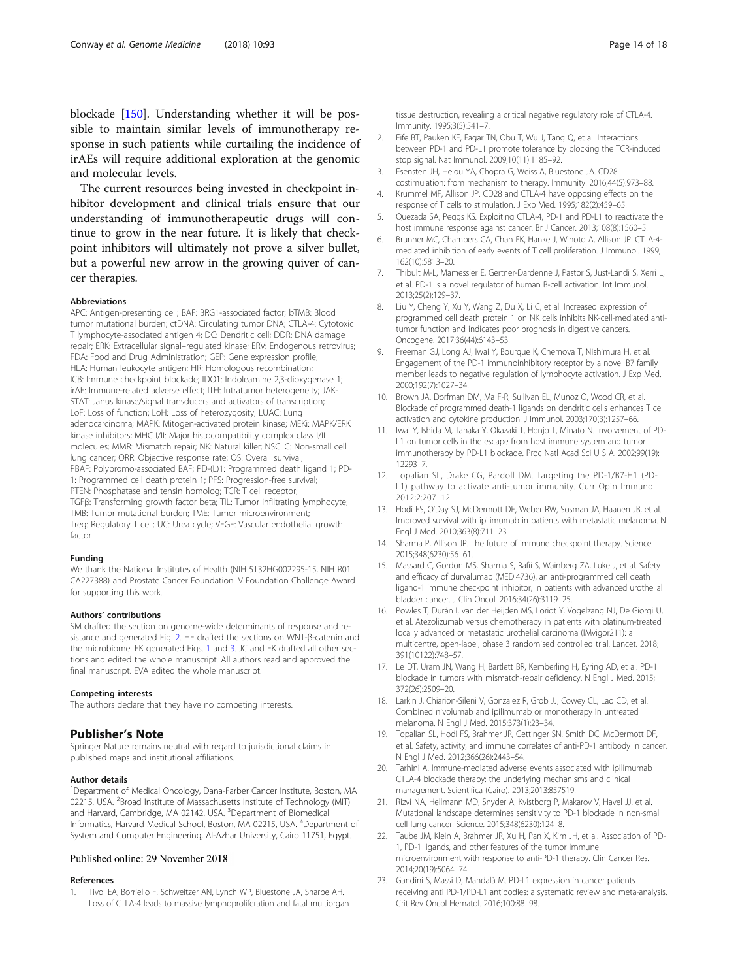<span id="page-13-0"></span>blockade [[150](#page-16-0)]. Understanding whether it will be possible to maintain similar levels of immunotherapy response in such patients while curtailing the incidence of irAEs will require additional exploration at the genomic and molecular levels.

The current resources being invested in checkpoint inhibitor development and clinical trials ensure that our understanding of immunotherapeutic drugs will continue to grow in the near future. It is likely that checkpoint inhibitors will ultimately not prove a silver bullet, but a powerful new arrow in the growing quiver of cancer therapies.

#### Abbreviations

APC: Antigen-presenting cell; BAF: BRG1-associated factor; bTMB: Blood tumor mutational burden; ctDNA: Circulating tumor DNA; CTLA-4: Cytotoxic T lymphocyte-associated antigen 4; DC: Dendritic cell; DDR: DNA damage repair; ERK: Extracellular signal–regulated kinase; ERV: Endogenous retrovirus; FDA: Food and Drug Administration; GEP: Gene expression profile; HLA: Human leukocyte antigen; HR: Homologous recombination; ICB: Immune checkpoint blockade; IDO1: Indoleamine 2,3-dioxygenase 1; irAE: Immune-related adverse effect; ITH: Intratumor heterogeneity; JAK-STAT: Janus kinase/signal transducers and activators of transcription; LoF: Loss of function; LoH: Loss of heterozygosity; LUAC: Lung adenocarcinoma; MAPK: Mitogen-activated protein kinase; MEKi: MAPK/ERK kinase inhibitors; MHC I/II: Major histocompatibility complex class I/II molecules; MMR: Mismatch repair; NK: Natural killer; NSCLC: Non-small cell lung cancer; ORR: Objective response rate; OS: Overall survival; PBAF: Polybromo-associated BAF; PD-(L)1: Programmed death ligand 1; PD-1: Programmed cell death protein 1; PFS: Progression-free survival; PTEN: Phosphatase and tensin homolog; TCR: T cell receptor; TGFβ: Transforming growth factor beta; TIL: Tumor infiltrating lymphocyte; TMB: Tumor mutational burden; TME: Tumor microenvironment; Treg: Regulatory T cell; UC: Urea cycle; VEGF: Vascular endothelial growth factor

#### Funding

We thank the National Institutes of Health (NIH 5T32HG002295-15, NIH R01 CA227388) and Prostate Cancer Foundation–V Foundation Challenge Award for supporting this work.

#### Authors' contributions

SM drafted the section on genome-wide determinants of response and resistance and generated Fig. [2](#page-4-0). HE drafted the sections on WNT-β-catenin and the microbiome. EK generated Figs. [1](#page-1-0) and [3.](#page-7-0) JC and EK drafted all other sections and edited the whole manuscript. All authors read and approved the final manuscript. EVA edited the whole manuscript.

#### Competing interests

The authors declare that they have no competing interests.

#### Publisher's Note

Springer Nature remains neutral with regard to jurisdictional claims in published maps and institutional affiliations.

#### Author details

<sup>1</sup>Department of Medical Oncology, Dana-Farber Cancer Institute, Boston, MA 02215, USA. <sup>2</sup>Broad Institute of Massachusetts Institute of Technology (MIT) and Harvard, Cambridge, MA 02142, USA. <sup>3</sup>Department of Biomedical Informatics, Harvard Medical School, Boston, MA 02215, USA. <sup>4</sup>Department of System and Computer Engineering, Al-Azhar University, Cairo 11751, Egypt.

# Published online: 29 November 2018

# References

1. Tivol EA, Borriello F, Schweitzer AN, Lynch WP, Bluestone JA, Sharpe AH. Loss of CTLA-4 leads to massive lymphoproliferation and fatal multiorgan tissue destruction, revealing a critical negative regulatory role of CTLA-4. Immunity. 1995;3(5):541–7.

- 2. Fife BT, Pauken KE, Eagar TN, Obu T, Wu J, Tang Q, et al. Interactions between PD-1 and PD-L1 promote tolerance by blocking the TCR-induced stop signal. Nat Immunol. 2009;10(11):1185–92.
- 3. Esensten JH, Helou YA, Chopra G, Weiss A, Bluestone JA. CD28 costimulation: from mechanism to therapy. Immunity. 2016;44(5):973–88.
- 4. Krummel MF, Allison JP. CD28 and CTLA-4 have opposing effects on the response of T cells to stimulation. J Exp Med. 1995;182(2):459–65.
- 5. Quezada SA, Peggs KS. Exploiting CTLA-4, PD-1 and PD-L1 to reactivate the host immune response against cancer. Br J Cancer. 2013;108(8):1560–5.
- 6. Brunner MC, Chambers CA, Chan FK, Hanke J, Winoto A, Allison JP. CTLA-4 mediated inhibition of early events of T cell proliferation. J Immunol. 1999; 162(10):5813–20.
- 7. Thibult M-L, Mamessier E, Gertner-Dardenne J, Pastor S, Just-Landi S, Xerri L, et al. PD-1 is a novel regulator of human B-cell activation. Int Immunol. 2013;25(2):129–37.
- 8. Liu Y, Cheng Y, Xu Y, Wang Z, Du X, Li C, et al. Increased expression of programmed cell death protein 1 on NK cells inhibits NK-cell-mediated antitumor function and indicates poor prognosis in digestive cancers. Oncogene. 2017;36(44):6143–53.
- 9. Freeman GJ, Long AJ, Iwai Y, Bourque K, Chernova T, Nishimura H, et al. Engagement of the PD-1 immunoinhibitory receptor by a novel B7 family member leads to negative regulation of lymphocyte activation. J Exp Med. 2000;192(7):1027–34.
- 10. Brown JA, Dorfman DM, Ma F-R, Sullivan EL, Munoz O, Wood CR, et al. Blockade of programmed death-1 ligands on dendritic cells enhances T cell activation and cytokine production. J Immunol. 2003;170(3):1257–66.
- 11. Iwai Y, Ishida M, Tanaka Y, Okazaki T, Honjo T, Minato N. Involvement of PD-L1 on tumor cells in the escape from host immune system and tumor immunotherapy by PD-L1 blockade. Proc Natl Acad Sci U S A. 2002;99(19): 12293–7.
- 12. Topalian SL, Drake CG, Pardoll DM. Targeting the PD-1/B7-H1 (PD-L1) pathway to activate anti-tumor immunity. Curr Opin Immunol. 2012;2:207–12.
- 13. Hodi FS, O'Day SJ, McDermott DF, Weber RW, Sosman JA, Haanen JB, et al. Improved survival with ipilimumab in patients with metastatic melanoma. N Engl J Med. 2010;363(8):711–23.
- 14. Sharma P, Allison JP. The future of immune checkpoint therapy. Science. 2015;348(6230):56–61.
- 15. Massard C, Gordon MS, Sharma S, Rafii S, Wainberg ZA, Luke J, et al. Safety and efficacy of durvalumab (MEDI4736), an anti-programmed cell death ligand-1 immune checkpoint inhibitor, in patients with advanced urothelial bladder cancer. J Clin Oncol. 2016;34(26):3119–25.
- 16. Powles T, Durán I, van der Heijden MS, Loriot Y, Vogelzang NJ, De Giorgi U, et al. Atezolizumab versus chemotherapy in patients with platinum-treated locally advanced or metastatic urothelial carcinoma (IMvigor211): a multicentre, open-label, phase 3 randomised controlled trial. Lancet. 2018; 391(10122):748–57.
- 17. Le DT, Uram JN, Wang H, Bartlett BR, Kemberling H, Eyring AD, et al. PD-1 blockade in tumors with mismatch-repair deficiency. N Engl J Med. 2015; 372(26):2509–20.
- 18. Larkin J, Chiarion-Sileni V, Gonzalez R, Grob JJ, Cowey CL, Lao CD, et al. Combined nivolumab and ipilimumab or monotherapy in untreated melanoma. N Engl J Med. 2015;373(1):23–34.
- 19. Topalian SL, Hodi FS, Brahmer JR, Gettinger SN, Smith DC, McDermott DF, et al. Safety, activity, and immune correlates of anti-PD-1 antibody in cancer. N Engl J Med. 2012;366(26):2443–54.
- 20. Tarhini A. Immune-mediated adverse events associated with ipilimumab CTLA-4 blockade therapy: the underlying mechanisms and clinical management. Scientifica (Cairo). 2013;2013:857519.
- 21. Rizvi NA, Hellmann MD, Snyder A, Kvistborg P, Makarov V, Havel JJ, et al. Mutational landscape determines sensitivity to PD-1 blockade in non-small cell lung cancer. Science. 2015;348(6230):124–8.
- 22. Taube JM, Klein A, Brahmer JR, Xu H, Pan X, Kim JH, et al. Association of PD-1, PD-1 ligands, and other features of the tumor immune microenvironment with response to anti-PD-1 therapy. Clin Cancer Res. 2014;20(19):5064–74.
- 23. Gandini S, Massi D, Mandalà M. PD-L1 expression in cancer patients receiving anti PD-1/PD-L1 antibodies: a systematic review and meta-analysis. Crit Rev Oncol Hematol. 2016;100:88–98.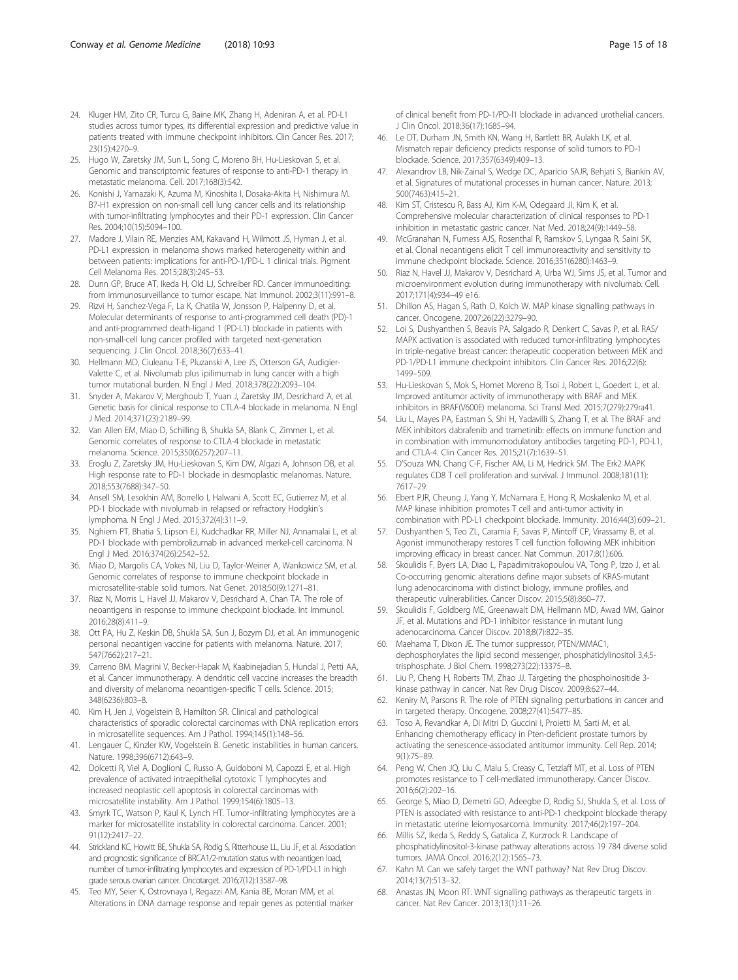- <span id="page-14-0"></span>24. Kluger HM, Zito CR, Turcu G, Baine MK, Zhang H, Adeniran A, et al. PD-L1 studies across tumor types, its differential expression and predictive value in patients treated with immune checkpoint inhibitors. Clin Cancer Res. 2017; 23(15):4270–9.
- 25. Hugo W, Zaretsky JM, Sun L, Song C, Moreno BH, Hu-Lieskovan S, et al. Genomic and transcriptomic features of response to anti-PD-1 therapy in metastatic melanoma. Cell. 2017;168(3):542.
- 26. Konishi J, Yamazaki K, Azuma M, Kinoshita I, Dosaka-Akita H, Nishimura M. B7-H1 expression on non-small cell lung cancer cells and its relationship with tumor-infiltrating lymphocytes and their PD-1 expression. Clin Cancer Res. 2004;10(15):5094–100.
- 27. Madore J, Vilain RE, Menzies AM, Kakavand H, Wilmott JS, Hyman J, et al. PD-L1 expression in melanoma shows marked heterogeneity within and between patients: implications for anti-PD-1/PD-L 1 clinical trials. Pigment Cell Melanoma Res. 2015;28(3):245–53.
- 28. Dunn GP, Bruce AT, Ikeda H, Old LJ, Schreiber RD. Cancer immunoediting: from immunosurveillance to tumor escape. Nat Immunol. 2002;3(11):991–8.
- 29. Rizvi H, Sanchez-Vega F, La K, Chatila W, Jonsson P, Halpenny D, et al. Molecular determinants of response to anti-programmed cell death (PD)-1 and anti-programmed death-ligand 1 (PD-L1) blockade in patients with non-small-cell lung cancer profiled with targeted next-generation sequencing. J Clin Oncol. 2018;36(7):633–41.
- 30. Hellmann MD, Ciuleanu T-E, Pluzanski A, Lee JS, Otterson GA, Audigier-Valette C, et al. Nivolumab plus ipilimumab in lung cancer with a high tumor mutational burden. N Engl J Med. 2018;378(22):2093–104.
- 31. Snyder A, Makarov V, Merghoub T, Yuan J, Zaretsky JM, Desrichard A, et al. Genetic basis for clinical response to CTLA-4 blockade in melanoma. N Engl J Med. 2014;371(23):2189–99.
- 32. Van Allen EM, Miao D, Schilling B, Shukla SA, Blank C, Zimmer L, et al. Genomic correlates of response to CTLA-4 blockade in metastatic melanoma. Science. 2015;350(6257):207–11.
- 33. Eroglu Z, Zaretsky JM, Hu-Lieskovan S, Kim DW, Algazi A, Johnson DB, et al. High response rate to PD-1 blockade in desmoplastic melanomas. Nature. 2018;553(7688):347–50.
- 34. Ansell SM, Lesokhin AM, Borrello I, Halwani A, Scott EC, Gutierrez M, et al. PD-1 blockade with nivolumab in relapsed or refractory Hodgkin's lymphoma. N Engl J Med. 2015;372(4):311–9.
- 35. Nghiem PT, Bhatia S, Lipson EJ, Kudchadkar RR, Miller NJ, Annamalai L, et al. PD-1 blockade with pembrolizumab in advanced merkel-cell carcinoma. N Engl J Med. 2016;374(26):2542–52.
- 36. Miao D, Margolis CA, Vokes NI, Liu D, Taylor-Weiner A, Wankowicz SM, et al. Genomic correlates of response to immune checkpoint blockade in microsatellite-stable solid tumors. Nat Genet. 2018;50(9):1271–81.
- 37. Riaz N, Morris L, Havel JJ, Makarov V, Desrichard A, Chan TA. The role of neoantigens in response to immune checkpoint blockade. Int Immunol. 2016;28(8):411–9.
- 38. Ott PA, Hu Z, Keskin DB, Shukla SA, Sun J, Bozym DJ, et al. An immunogenic personal neoantigen vaccine for patients with melanoma. Nature. 2017; 547(7662):217–21.
- 39. Carreno BM, Magrini V, Becker-Hapak M, Kaabinejadian S, Hundal J, Petti AA, et al. Cancer immunotherapy. A dendritic cell vaccine increases the breadth and diversity of melanoma neoantigen-specific T cells. Science. 2015; 348(6236):803–8.
- 40. Kim H, Jen J, Vogelstein B, Hamilton SR. Clinical and pathological characteristics of sporadic colorectal carcinomas with DNA replication errors in microsatellite sequences. Am J Pathol. 1994;145(1):148–56.
- 41. Lengauer C, Kinzler KW, Vogelstein B. Genetic instabilities in human cancers. Nature. 1998;396(6712):643–9.
- 42. Dolcetti R, Viel A, Doglioni C, Russo A, Guidoboni M, Capozzi E, et al. High prevalence of activated intraepithelial cytotoxic T lymphocytes and increased neoplastic cell apoptosis in colorectal carcinomas with microsatellite instability. Am J Pathol. 1999;154(6):1805–13.
- 43. Smyrk TC, Watson P, Kaul K, Lynch HT. Tumor-infiltrating lymphocytes are a marker for microsatellite instability in colorectal carcinoma. Cancer. 2001; 91(12):2417–22.
- 44. Strickland KC, Howitt BE, Shukla SA, Rodig S, Ritterhouse LL, Liu JF, et al. Association and prognostic significance of BRCA1/2-mutation status with neoantigen load, number of tumor-infiltrating lymphocytes and expression of PD-1/PD-L1 in high grade serous ovarian cancer. Oncotarget. 2016;7(12):13587–98.
- 45. Teo MY, Seier K, Ostrovnaya I, Regazzi AM, Kania BE, Moran MM, et al. Alterations in DNA damage response and repair genes as potential marker

of clinical benefit from PD-1/PD-l1 blockade in advanced urothelial cancers. J Clin Oncol. 2018;36(17):1685–94.

- 46. Le DT, Durham JN, Smith KN, Wang H, Bartlett BR, Aulakh LK, et al. Mismatch repair deficiency predicts response of solid tumors to PD-1 blockade. Science. 2017;357(6349):409–13.
- 47. Alexandrov LB, Nik-Zainal S, Wedge DC, Aparicio SAJR, Behjati S, Biankin AV, et al. Signatures of mutational processes in human cancer. Nature. 2013; 500(7463):415–21.
- 48. Kim ST, Cristescu R, Bass AJ, Kim K-M, Odegaard JI, Kim K, et al. Comprehensive molecular characterization of clinical responses to PD-1 inhibition in metastatic gastric cancer. Nat Med. 2018;24(9):1449–58.
- 49. McGranahan N, Furness AJS, Rosenthal R, Ramskov S, Lyngaa R, Saini SK, et al. Clonal neoantigens elicit T cell immunoreactivity and sensitivity to immune checkpoint blockade. Science. 2016;351(6280):1463–9.
- 50. Riaz N, Havel JJ, Makarov V, Desrichard A, Urba WJ, Sims JS, et al. Tumor and microenvironment evolution during immunotherapy with nivolumab. Cell. 2017;171(4):934–49 e16.
- 51. Dhillon AS, Hagan S, Rath O, Kolch W. MAP kinase signalling pathways in cancer. Oncogene. 2007;26(22):3279–90.
- 52. Loi S, Dushyanthen S, Beavis PA, Salgado R, Denkert C, Savas P, et al. RAS/ MAPK activation is associated with reduced tumor-infiltrating lymphocytes in triple-negative breast cancer: therapeutic cooperation between MEK and PD-1/PD-L1 immune checkpoint inhibitors. Clin Cancer Res. 2016;22(6): 1499–509.
- 53. Hu-Lieskovan S, Mok S, Homet Moreno B, Tsoi J, Robert L, Goedert L, et al. Improved antitumor activity of immunotherapy with BRAF and MEK inhibitors in BRAF(V600E) melanoma. Sci Transl Med. 2015;7(279):279ra41.
- 54. Liu L, Mayes PA, Eastman S, Shi H, Yadavilli S, Zhang T, et al. The BRAF and MEK inhibitors dabrafenib and trametinib: effects on immune function and in combination with immunomodulatory antibodies targeting PD-1, PD-L1, and CTLA-4. Clin Cancer Res. 2015;21(7):1639–51.
- 55. D'Souza WN, Chang C-F, Fischer AM, Li M, Hedrick SM. The Erk2 MAPK regulates CD8 T cell proliferation and survival. J Immunol. 2008;181(11): 7617–29.
- 56. Ebert PJR, Cheung J, Yang Y, McNamara E, Hong R, Moskalenko M, et al. MAP kinase inhibition promotes T cell and anti-tumor activity in combination with PD-L1 checkpoint blockade. Immunity. 2016;44(3):609–21.
- 57. Dushyanthen S, Teo ZL, Caramia F, Savas P, Mintoff CP, Virassamy B, et al. Agonist immunotherapy restores T cell function following MEK inhibition improving efficacy in breast cancer. Nat Commun. 2017;8(1):606.
- 58. Skoulidis F, Byers LA, Diao L, Papadimitrakopoulou VA, Tong P, Izzo J, et al. Co-occurring genomic alterations define major subsets of KRAS-mutant lung adenocarcinoma with distinct biology, immune profiles, and therapeutic vulnerabilities. Cancer Discov. 2015;5(8):860–77.
- 59. Skoulidis F, Goldberg ME, Greenawalt DM, Hellmann MD, Awad MM, Gainor JF, et al. Mutations and PD-1 inhibitor resistance in mutant lung adenocarcinoma. Cancer Discov. 2018;8(7):822–35.
- 60. Maehama T, Dixon JE. The tumor suppressor, PTEN/MMAC1, dephosphorylates the lipid second messenger, phosphatidylinositol 3,4,5 trisphosphate. J Biol Chem. 1998;273(22):13375–8.
- 61. Liu P, Cheng H, Roberts TM, Zhao JJ. Targeting the phosphoinositide 3 kinase pathway in cancer. Nat Rev Drug Discov. 2009;8:627–44.
- 62. Keniry M, Parsons R. The role of PTEN signaling perturbations in cancer and in targeted therapy. Oncogene. 2008;27(41):5477–85.
- 63. Toso A, Revandkar A, Di Mitri D, Guccini I, Proietti M, Sarti M, et al. Enhancing chemotherapy efficacy in Pten-deficient prostate tumors by activating the senescence-associated antitumor immunity. Cell Rep. 2014; 9(1):75–89.
- 64. Peng W, Chen JQ, Liu C, Malu S, Creasy C, Tetzlaff MT, et al. Loss of PTEN promotes resistance to T cell-mediated immunotherapy. Cancer Discov. 2016;6(2):202–16.
- 65. George S, Miao D, Demetri GD, Adeegbe D, Rodig SJ, Shukla S, et al. Loss of PTEN is associated with resistance to anti-PD-1 checkpoint blockade therapy in metastatic uterine leiomyosarcoma. Immunity. 2017;46(2):197–204.
- 66. Millis SZ, Ikeda S, Reddy S, Gatalica Z, Kurzrock R. Landscape of phosphatidylinositol-3-kinase pathway alterations across 19 784 diverse solid tumors. JAMA Oncol. 2016;2(12):1565–73.
- 67. Kahn M. Can we safely target the WNT pathway? Nat Rev Drug Discov. 2014;13(7):513–32.
- 68. Anastas JN, Moon RT. WNT signalling pathways as therapeutic targets in cancer. Nat Rev Cancer. 2013;13(1):11–26.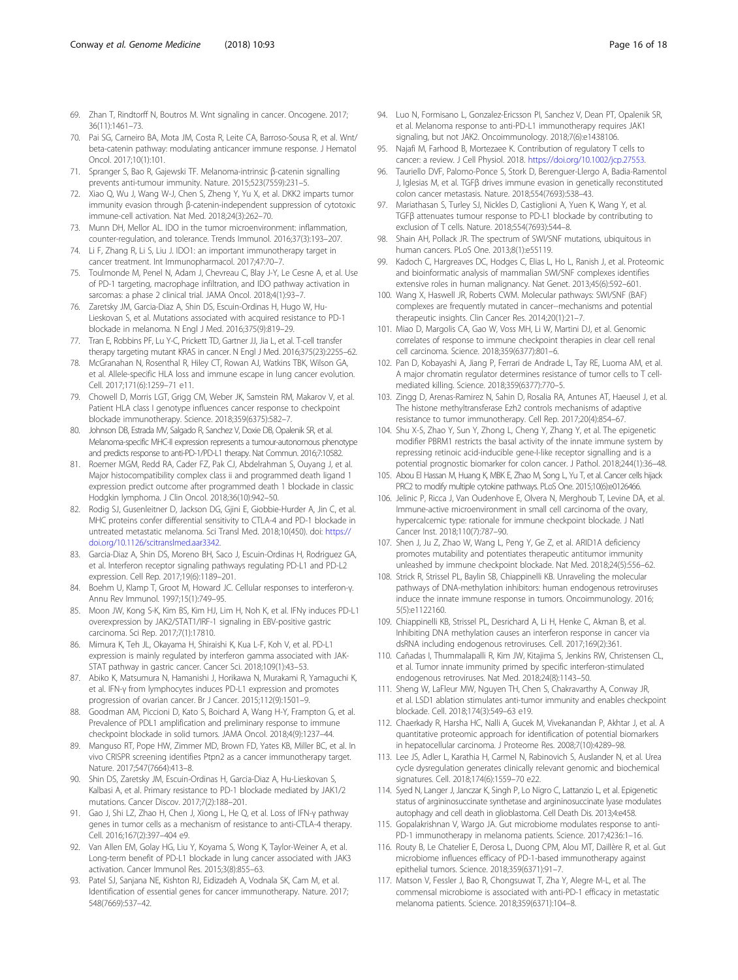- <span id="page-15-0"></span>69. Zhan T, Rindtorff N, Boutros M. Wnt signaling in cancer. Oncogene. 2017; 36(11):1461–73.
- 70. Pai SG, Carneiro BA, Mota JM, Costa R, Leite CA, Barroso-Sousa R, et al. Wnt/ beta-catenin pathway: modulating anticancer immune response. J Hematol Oncol. 2017;10(1):101.
- 71. Spranger S, Bao R, Gajewski TF. Melanoma-intrinsic β-catenin signalling prevents anti-tumour immunity. Nature. 2015;523(7559):231–5.
- 72. Xiao Q, Wu J, Wang W-J, Chen S, Zheng Y, Yu X, et al. DKK2 imparts tumor immunity evasion through β-catenin-independent suppression of cytotoxic immune-cell activation. Nat Med. 2018;24(3):262–70.
- Munn DH, Mellor AL. IDO in the tumor microenvironment: inflammation, counter-regulation, and tolerance. Trends Immunol. 2016;37(3):193–207.
- 74. Li F, Zhang R, Li S, Liu J. IDO1: an important immunotherapy target in cancer treatment. Int Immunopharmacol. 2017;47:70–7.
- 75. Toulmonde M, Penel N, Adam J, Chevreau C, Blay J-Y, Le Cesne A, et al. Use of PD-1 targeting, macrophage infiltration, and IDO pathway activation in sarcomas: a phase 2 clinical trial. JAMA Oncol. 2018;4(1):93–7.
- 76. Zaretsky JM, Garcia-Diaz A, Shin DS, Escuin-Ordinas H, Hugo W, Hu-Lieskovan S, et al. Mutations associated with acquired resistance to PD-1 blockade in melanoma. N Engl J Med. 2016;375(9):819–29.
- 77. Tran E, Robbins PF, Lu Y-C, Prickett TD, Gartner JJ, Jia L, et al. T-cell transfer therapy targeting mutant KRAS in cancer. N Engl J Med. 2016;375(23):2255–62.
- 78. McGranahan N, Rosenthal R, Hiley CT, Rowan AJ, Watkins TBK, Wilson GA, et al. Allele-specific HLA loss and immune escape in lung cancer evolution. Cell. 2017;171(6):1259–71 e11.
- 79. Chowell D, Morris LGT, Grigg CM, Weber JK, Samstein RM, Makarov V, et al. Patient HLA class I genotype influences cancer response to checkpoint blockade immunotherapy. Science. 2018;359(6375):582–7.
- 80. Johnson DB, Estrada MV, Salgado R, Sanchez V, Doxie DB, Opalenik SR, et al. Melanoma-specific MHC-II expression represents a tumour-autonomous phenotype and predicts response to anti-PD-1/PD-L1 therapy. Nat Commun. 2016;7:10582.
- 81. Roemer MGM, Redd RA, Cader FZ, Pak CJ, Abdelrahman S, Ouyang J, et al. Major histocompatibility complex class ii and programmed death ligand 1 expression predict outcome after programmed death 1 blockade in classic Hodgkin lymphoma. J Clin Oncol. 2018;36(10):942–50.
- 82. Rodig SJ, Gusenleitner D, Jackson DG, Gjini E, Giobbie-Hurder A, Jin C, et al. MHC proteins confer differential sensitivity to CTLA-4 and PD-1 blockade in untreated metastatic melanoma. Sci Transl Med. 2018;10(450). doi: [https://](https://doi.org/10.1126/scitranslmed.aar3342) [doi.org/10.1126/scitranslmed.aar3342](https://doi.org/10.1126/scitranslmed.aar3342).
- 83. Garcia-Diaz A, Shin DS, Moreno BH, Saco J, Escuin-Ordinas H, Rodriguez GA, et al. Interferon receptor signaling pathways regulating PD-L1 and PD-L2 expression. Cell Rep. 2017;19(6):1189–201.
- 84. Boehm U, Klamp T, Groot M, Howard JC. Cellular responses to interferon-γ. Annu Rev Immunol. 1997;15(1):749–95.
- 85. Moon JW, Kong S-K, Kim BS, Kim HJ, Lim H, Noh K, et al. IFNy induces PD-L1 overexpression by JAK2/STAT1/IRF-1 signaling in EBV-positive gastric carcinoma. Sci Rep. 2017;7(1):17810.
- 86. Mimura K, Teh JL, Okayama H, Shiraishi K, Kua L-F, Koh V, et al. PD-L1 expression is mainly regulated by interferon gamma associated with JAK-STAT pathway in gastric cancer. Cancer Sci. 2018;109(1):43–53.
- 87. Abiko K, Matsumura N, Hamanishi J, Horikawa N, Murakami R, Yamaguchi K, et al. IFN-γ from lymphocytes induces PD-L1 expression and promotes progression of ovarian cancer. Br J Cancer. 2015;112(9):1501–9.
- Goodman AM, Piccioni D, Kato S, Boichard A, Wang H-Y, Frampton G, et al. Prevalence of PDL1 amplification and preliminary response to immune checkpoint blockade in solid tumors. JAMA Oncol. 2018;4(9):1237–44.
- 89. Manguso RT, Pope HW, Zimmer MD, Brown FD, Yates KB, Miller BC, et al. In vivo CRISPR screening identifies Ptpn2 as a cancer immunotherapy target. Nature. 2017;547(7664):413–8.
- 90. Shin DS, Zaretsky JM, Escuin-Ordinas H, Garcia-Diaz A, Hu-Lieskovan S, Kalbasi A, et al. Primary resistance to PD-1 blockade mediated by JAK1/2 mutations. Cancer Discov. 2017;7(2):188–201.
- 91. Gao J, Shi LZ, Zhao H, Chen J, Xiong L, He Q, et al. Loss of IFN-γ pathway genes in tumor cells as a mechanism of resistance to anti-CTLA-4 therapy. Cell. 2016;167(2):397–404 e9.
- 92. Van Allen EM, Golay HG, Liu Y, Koyama S, Wong K, Taylor-Weiner A, et al. Long-term benefit of PD-L1 blockade in lung cancer associated with JAK3 activation. Cancer Immunol Res. 2015;3(8):855–63.
- 93. Patel SJ, Sanjana NE, Kishton RJ, Eidizadeh A, Vodnala SK, Cam M, et al. Identification of essential genes for cancer immunotherapy. Nature. 2017; 548(7669):537–42.
- 94. Luo N, Formisano L, Gonzalez-Ericsson PI, Sanchez V, Dean PT, Opalenik SR, et al. Melanoma response to anti-PD-L1 immunotherapy requires JAK1 signaling, but not JAK2. Oncoimmunology. 2018;7(6):e1438106.
- 95. Najafi M, Farhood B, Mortezaee K. Contribution of regulatory T cells to cancer: a review. J Cell Physiol. 2018. <https://doi.org/10.1002/jcp.27553>.
- 96. Tauriello DVF, Palomo-Ponce S, Stork D, Berenguer-Llergo A, Badia-Ramentol J, Iglesias M, et al. TGFβ drives immune evasion in genetically reconstituted colon cancer metastasis. Nature. 2018;554(7693):538–43.
- 97. Mariathasan S, Turley SJ, Nickles D, Castiglioni A, Yuen K, Wang Y, et al. TGFβ attenuates tumour response to PD-L1 blockade by contributing to exclusion of T cells. Nature. 2018;554(7693):544–8.
- 98. Shain AH, Pollack JR. The spectrum of SWI/SNF mutations, ubiquitous in human cancers. PLoS One. 2013;8(1):e55119.
- 99. Kadoch C, Hargreaves DC, Hodges C, Elias L, Ho L, Ranish J, et al. Proteomic and bioinformatic analysis of mammalian SWI/SNF complexes identifies extensive roles in human malignancy. Nat Genet. 2013;45(6):592–601.
- 100. Wang X, Haswell JR, Roberts CWM. Molecular pathways: SWI/SNF (BAF) complexes are frequently mutated in cancer--mechanisms and potential therapeutic insights. Clin Cancer Res. 2014;20(1):21–7.
- 101. Miao D, Margolis CA, Gao W, Voss MH, Li W, Martini DJ, et al. Genomic correlates of response to immune checkpoint therapies in clear cell renal cell carcinoma. Science. 2018;359(6377):801–6.
- 102. Pan D, Kobayashi A, Jiang P, Ferrari de Andrade L, Tay RE, Luoma AM, et al. A major chromatin regulator determines resistance of tumor cells to T cellmediated killing. Science. 2018;359(6377):770–5.
- 103. Zingg D, Arenas-Ramirez N, Sahin D, Rosalia RA, Antunes AT, Haeusel J, et al. The histone methyltransferase Ezh2 controls mechanisms of adaptive resistance to tumor immunotherapy. Cell Rep. 2017;20(4):854–67.
- 104. Shu X-S, Zhao Y, Sun Y, Zhong L, Cheng Y, Zhang Y, et al. The epigenetic modifier PBRM1 restricts the basal activity of the innate immune system by repressing retinoic acid-inducible gene-I-like receptor signalling and is a potential prognostic biomarker for colon cancer. J Pathol. 2018;244(1):36–48.
- 105. Abou El Hassan M, Huang K, MBK E, Zhao M, Song L, Yu T, et al. Cancer cells hijack PRC2 to modify multiple cytokine pathways. PLoS One. 2015;10(6):e0126466.
- 106. Jelinic P, Ricca J, Van Oudenhove E, Olvera N, Merghoub T, Levine DA, et al. Immune-active microenvironment in small cell carcinoma of the ovary, hypercalcemic type: rationale for immune checkpoint blockade. J Natl Cancer Inst. 2018;110(7):787–90.
- 107. Shen J, Ju Z, Zhao W, Wang L, Peng Y, Ge Z, et al. ARID1A deficiency promotes mutability and potentiates therapeutic antitumor immunity unleashed by immune checkpoint blockade. Nat Med. 2018;24(5):556–62.
- 108. Strick R, Strissel PL, Baylin SB, Chiappinelli KB. Unraveling the molecular pathways of DNA-methylation inhibitors: human endogenous retroviruses induce the innate immune response in tumors. Oncoimmunology. 2016; 5(5):e1122160.
- 109. Chiappinelli KB, Strissel PL, Desrichard A, Li H, Henke C, Akman B, et al. Inhibiting DNA methylation causes an interferon response in cancer via dsRNA including endogenous retroviruses. Cell. 2017;169(2):361.
- 110. Cañadas I, Thummalapalli R, Kim JW, Kitajima S, Jenkins RW, Christensen CL, et al. Tumor innate immunity primed by specific interferon-stimulated endogenous retroviruses. Nat Med. 2018;24(8):1143–50.
- 111. Sheng W, LaFleur MW, Nguyen TH, Chen S, Chakravarthy A, Conway JR, et al. LSD1 ablation stimulates anti-tumor immunity and enables checkpoint blockade. Cell. 2018;174(3):549–63 e19.
- 112. Chaerkady R, Harsha HC, Nalli A, Gucek M, Vivekanandan P, Akhtar J, et al. A quantitative proteomic approach for identification of potential biomarkers in hepatocellular carcinoma. J Proteome Res. 2008;7(10):4289–98.
- 113. Lee JS, Adler L, Karathia H, Carmel N, Rabinovich S, Auslander N, et al. Urea cycle dysregulation generates clinically relevant genomic and biochemical signatures. Cell. 2018;174(6):1559–70 e22.
- 114. Syed N, Langer J, Janczar K, Singh P, Lo Nigro C, Lattanzio L, et al. Epigenetic status of argininosuccinate synthetase and argininosuccinate lyase modulates autophagy and cell death in glioblastoma. Cell Death Dis. 2013;4:e458.
- 115. Gopalakrishnan V, Wargo JA. Gut microbiome modulates response to anti-PD-1 immunotherapy in melanoma patients. Science. 2017;4236:1–16.
- 116. Routy B, Le Chatelier E, Derosa L, Duong CPM, Alou MT, Daillère R, et al. Gut microbiome influences efficacy of PD-1-based immunotherapy against epithelial tumors. Science. 2018;359(6371):91–7.
- 117. Matson V, Fessler J, Bao R, Chongsuwat T, Zha Y, Alegre M-L, et al. The commensal microbiome is associated with anti-PD-1 efficacy in metastatic melanoma patients. Science. 2018;359(6371):104–8.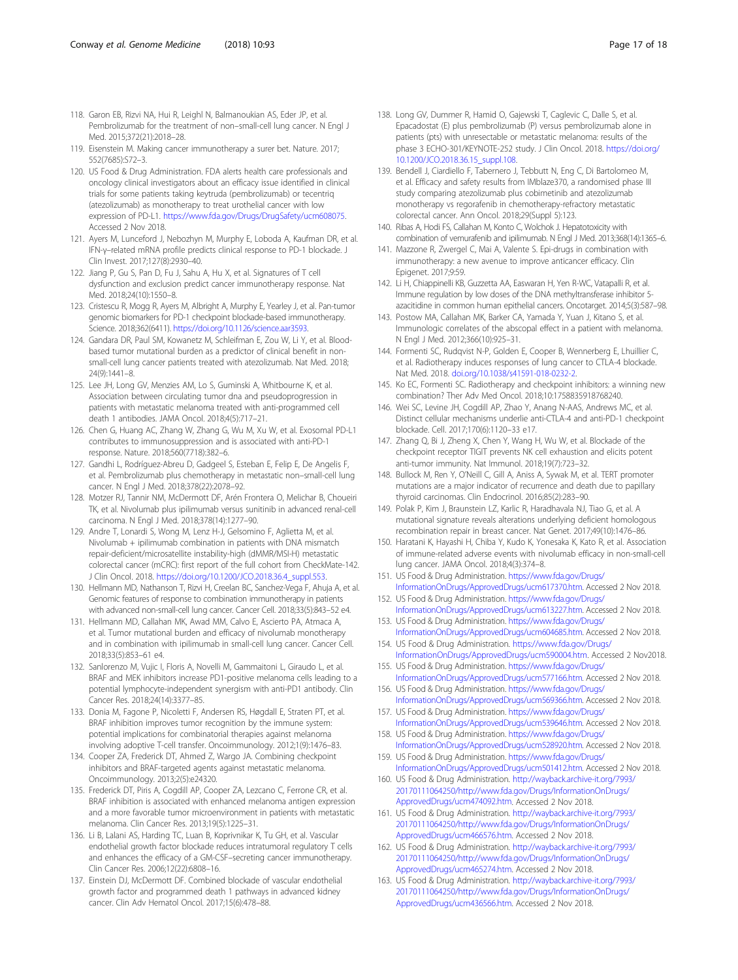- <span id="page-16-0"></span>118. Garon EB, Rizvi NA, Hui R, Leighl N, Balmanoukian AS, Eder JP, et al. Pembrolizumab for the treatment of non–small-cell lung cancer. N Engl J Med. 2015;372(21):2018–28.
- 119. Eisenstein M. Making cancer immunotherapy a surer bet. Nature. 2017; 552(7685):S72–3.
- 120. US Food & Drug Administration. FDA alerts health care professionals and oncology clinical investigators about an efficacy issue identified in clinical trials for some patients taking keytruda (pembrolizumab) or tecentriq (atezolizumab) as monotherapy to treat urothelial cancer with low expression of PD-L1. <https://www.fda.gov/Drugs/DrugSafety/ucm608075>. Accessed 2 Nov 2018.
- 121. Ayers M, Lunceford J, Nebozhyn M, Murphy E, Loboda A, Kaufman DR, et al. IFN-γ–related mRNA profile predicts clinical response to PD-1 blockade. J Clin Invest. 2017;127(8):2930–40.
- 122. Jiang P, Gu S, Pan D, Fu J, Sahu A, Hu X, et al. Signatures of T cell dysfunction and exclusion predict cancer immunotherapy response. Nat Med. 2018;24(10):1550–8.
- 123. Cristescu R, Mogg R, Ayers M, Albright A, Murphy E, Yearley J, et al. Pan-tumor genomic biomarkers for PD-1 checkpoint blockade-based immunotherapy. Science. 2018;362(6411). [https://doi.org/10.1126/science.aar3593.](https://doi.org/10.1126/science.aar3593)
- 124. Gandara DR, Paul SM, Kowanetz M, Schleifman E, Zou W, Li Y, et al. Bloodbased tumor mutational burden as a predictor of clinical benefit in nonsmall-cell lung cancer patients treated with atezolizumab. Nat Med. 2018; 24(9):1441–8.
- 125. Lee JH, Long GV, Menzies AM, Lo S, Guminski A, Whitbourne K, et al. Association between circulating tumor dna and pseudoprogression in patients with metastatic melanoma treated with anti-programmed cell death 1 antibodies. JAMA Oncol. 2018;4(5):717–21.
- 126. Chen G, Huang AC, Zhang W, Zhang G, Wu M, Xu W, et al. Exosomal PD-L1 contributes to immunosuppression and is associated with anti-PD-1 response. Nature. 2018;560(7718):382–6.
- 127. Gandhi L, Rodríguez-Abreu D, Gadgeel S, Esteban E, Felip E, De Angelis F, et al. Pembrolizumab plus chemotherapy in metastatic non–small-cell lung cancer. N Engl J Med. 2018;378(22):2078–92.
- 128. Motzer RJ, Tannir NM, McDermott DF, Arén Frontera O, Melichar B, Choueiri TK, et al. Nivolumab plus ipilimumab versus sunitinib in advanced renal-cell carcinoma. N Engl J Med. 2018;378(14):1277–90.
- 129. Andre T, Lonardi S, Wong M, Lenz H-J, Gelsomino F, Aglietta M, et al. Nivolumab + ipilimumab combination in patients with DNA mismatch repair-deficient/microsatellite instability-high (dMMR/MSI-H) metastatic colorectal cancer (mCRC): first report of the full cohort from CheckMate-142. J Clin Oncol. 2018. [https://doi.org/10.1200/JCO.2018.36.4\\_suppl.553.](https://doi.org/10.1200/JCO.2018.36.4_suppl.553)
- 130. Hellmann MD, Nathanson T, Rizvi H, Creelan BC, Sanchez-Vega F, Ahuja A, et al. Genomic features of response to combination immunotherapy in patients with advanced non-small-cell lung cancer. Cancer Cell. 2018;33(5):843–52 e4.
- 131. Hellmann MD, Callahan MK, Awad MM, Calvo E, Ascierto PA, Atmaca A, et al. Tumor mutational burden and efficacy of nivolumab monotherapy and in combination with ipilimumab in small-cell lung cancer. Cancer Cell. 2018;33(5):853–61 e4.
- 132. Sanlorenzo M, Vujic I, Floris A, Novelli M, Gammaitoni L, Giraudo L, et al. BRAF and MEK inhibitors increase PD1-positive melanoma cells leading to a potential lymphocyte-independent synergism with anti-PD1 antibody. Clin Cancer Res. 2018;24(14):3377–85.
- 133. Donia M, Fagone P, Nicoletti F, Andersen RS, Høgdall E, Straten PT, et al. BRAF inhibition improves tumor recognition by the immune system: potential implications for combinatorial therapies against melanoma involving adoptive T-cell transfer. Oncoimmunology. 2012;1(9):1476–83.
- 134. Cooper ZA, Frederick DT, Ahmed Z, Wargo JA. Combining checkpoint inhibitors and BRAF-targeted agents against metastatic melanoma. Oncoimmunology. 2013;2(5):e24320.
- 135. Frederick DT, Piris A, Cogdill AP, Cooper ZA, Lezcano C, Ferrone CR, et al. BRAF inhibition is associated with enhanced melanoma antigen expression and a more favorable tumor microenvironment in patients with metastatic melanoma. Clin Cancer Res. 2013;19(5):1225–31.
- 136. Li B, Lalani AS, Harding TC, Luan B, Koprivnikar K, Tu GH, et al. Vascular endothelial growth factor blockade reduces intratumoral regulatory T cells and enhances the efficacy of a GM-CSF–secreting cancer immunotherapy. Clin Cancer Res. 2006;12(22):6808–16.
- 137. Einstein DJ, McDermott DF. Combined blockade of vascular endothelial growth factor and programmed death 1 pathways in advanced kidney cancer. Clin Adv Hematol Oncol. 2017;15(6):478–88.
- 138. Long GV, Dummer R, Hamid O, Gajewski T, Caglevic C, Dalle S, et al. Epacadostat (E) plus pembrolizumab (P) versus pembrolizumab alone in patients (pts) with unresectable or metastatic melanoma: results of the phase 3 ECHO-301/KEYNOTE-252 study. J Clin Oncol. 2018. [https://doi.org/](https://doi.org/10.1200/JCO.2018.36.15_suppl.108) [10.1200/JCO.2018.36.15\\_suppl.108](https://doi.org/10.1200/JCO.2018.36.15_suppl.108).
- 139. Bendell J, Ciardiello F, Tabernero J, Tebbutt N, Eng C, Di Bartolomeo M, et al. Efficacy and safety results from IMblaze370, a randomised phase III study comparing atezolizumab plus cobimetinib and atezolizumab monotherapy vs regorafenib in chemotherapy-refractory metastatic colorectal cancer. Ann Oncol. 2018;29(Suppl 5):123.
- 140. Ribas A, Hodi FS, Callahan M, Konto C, Wolchok J. Hepatotoxicity with combination of vemurafenib and ipilimumab. N Engl J Med. 2013;368(14):1365–6.
- 141. Mazzone R, Zwergel C, Mai A, Valente S. Epi-drugs in combination with immunotherapy: a new avenue to improve anticancer efficacy. Clin Epigenet. 2017;9:59.
- 142. Li H, Chiappinelli KB, Guzzetta AA, Easwaran H, Yen R-WC, Vatapalli R, et al. Immune regulation by low doses of the DNA methyltransferase inhibitor 5 azacitidine in common human epithelial cancers. Oncotarget. 2014;5(3):587–98.
- 143. Postow MA, Callahan MK, Barker CA, Yamada Y, Yuan J, Kitano S, et al. Immunologic correlates of the abscopal effect in a patient with melanoma. N Engl J Med. 2012;366(10):925–31.
- 144. Formenti SC, Rudqvist N-P, Golden E, Cooper B, Wennerberg E, Lhuillier C, et al. Radiotherapy induces responses of lung cancer to CTLA-4 blockade. Nat Med. 2018. [doi.org/10.1038/s41591-018-0232-2.](http://doi.org/10.1038/s41591-018-0232-2)
- 145. Ko EC, Formenti SC. Radiotherapy and checkpoint inhibitors: a winning new combination? Ther Adv Med Oncol. 2018;10:1758835918768240.
- 146. Wei SC, Levine JH, Cogdill AP, Zhao Y, Anang N-AAS, Andrews MC, et al. Distinct cellular mechanisms underlie anti-CTLA-4 and anti-PD-1 checkpoint blockade. Cell. 2017;170(6):1120–33 e17.
- 147. Zhang Q, Bi J, Zheng X, Chen Y, Wang H, Wu W, et al. Blockade of the checkpoint receptor TIGIT prevents NK cell exhaustion and elicits potent anti-tumor immunity. Nat Immunol. 2018;19(7):723–32.
- 148. Bullock M, Ren Y, O'Neill C, Gill A, Aniss A, Sywak M, et al. TERT promoter mutations are a major indicator of recurrence and death due to papillary thyroid carcinomas. Clin Endocrinol. 2016;85(2):283–90.
- 149. Polak P, Kim J, Braunstein LZ, Karlic R, Haradhavala NJ, Tiao G, et al. A mutational signature reveals alterations underlying deficient homologous recombination repair in breast cancer. Nat Genet. 2017;49(10):1476–86.
- 150. Haratani K, Hayashi H, Chiba Y, Kudo K, Yonesaka K, Kato R, et al. Association of immune-related adverse events with nivolumab efficacy in non-small-cell lung cancer. JAMA Oncol. 2018;4(3):374–8.
- 151. US Food & Drug Administration. [https://www.fda.gov/Drugs/](https://www.fda.gov/Drugs/InformationOnDrugs/ApprovedDrugs/ucm617370.htm) [InformationOnDrugs/ApprovedDrugs/ucm617370.htm](https://www.fda.gov/Drugs/InformationOnDrugs/ApprovedDrugs/ucm617370.htm). Accessed 2 Nov 2018.
- 152. US Food & Drug Administration. [https://www.fda.gov/Drugs/](https://www.fda.gov/Drugs/InformationOnDrugs/ApprovedDrugs/ucm613227.htm) [InformationOnDrugs/ApprovedDrugs/ucm613227.htm](https://www.fda.gov/Drugs/InformationOnDrugs/ApprovedDrugs/ucm613227.htm). Accessed 2 Nov 2018. 153. US Food & Drug Administration. [https://www.fda.gov/Drugs/](https://www.fda.gov/Drugs/InformationOnDrugs/ApprovedDrugs/ucm604685.htm)
- [InformationOnDrugs/ApprovedDrugs/ucm604685.htm](https://www.fda.gov/Drugs/InformationOnDrugs/ApprovedDrugs/ucm604685.htm). Accessed 2 Nov 2018. 154. US Food & Drug Administration. [https://www.fda.gov/Drugs/](https://www.fda.gov/Drugs/InformationOnDrugs/ApprovedDrugs/ucm590004.htm)
- [InformationOnDrugs/ApprovedDrugs/ucm590004.htm](https://www.fda.gov/Drugs/InformationOnDrugs/ApprovedDrugs/ucm590004.htm). Accessed 2 Nov2018. 155. US Food & Drug Administration. [https://www.fda.gov/Drugs/](https://www.fda.gov/Drugs/InformationOnDrugs/ApprovedDrugs/ucm577166.htm)
- [InformationOnDrugs/ApprovedDrugs/ucm577166.htm](https://www.fda.gov/Drugs/InformationOnDrugs/ApprovedDrugs/ucm577166.htm). Accessed 2 Nov 2018. 156. US Food & Drug Administration. [https://www.fda.gov/Drugs/](https://www.fda.gov/Drugs/InformationOnDrugs/ApprovedDrugs/ucm569366.htm)
- [InformationOnDrugs/ApprovedDrugs/ucm569366.htm](https://www.fda.gov/Drugs/InformationOnDrugs/ApprovedDrugs/ucm569366.htm). Accessed 2 Nov 2018. 157. US Food & Drug Administration. [https://www.fda.gov/Drugs/](https://www.fda.gov/Drugs/InformationOnDrugs/ApprovedDrugs/ucm539646.htm)
- [InformationOnDrugs/ApprovedDrugs/ucm539646.htm](https://www.fda.gov/Drugs/InformationOnDrugs/ApprovedDrugs/ucm539646.htm). Accessed 2 Nov 2018. 158. US Food & Drug Administration. [https://www.fda.gov/Drugs/](https://www.fda.gov/Drugs/InformationOnDrugs/ApprovedDrugs/ucm528920.htm)
- [InformationOnDrugs/ApprovedDrugs/ucm528920.htm](https://www.fda.gov/Drugs/InformationOnDrugs/ApprovedDrugs/ucm528920.htm). Accessed 2 Nov 2018. 159. US Food & Drug Administration. [https://www.fda.gov/Drugs/](https://www.fda.gov/Drugs/InformationOnDrugs/ApprovedDrugs/ucm501412.htm)
- [InformationOnDrugs/ApprovedDrugs/ucm501412.htm](https://www.fda.gov/Drugs/InformationOnDrugs/ApprovedDrugs/ucm501412.htm). Accessed 2 Nov 2018. 160. US Food & Drug Administration. [http://wayback.archive-it.org/7993/](http://wayback.archive-it.org/7993/20170111064250/http:/www.fda.gov/Drugs/InformationOnDrugs/ApprovedDrugs/ucm474092.htm)
- [20170111064250/http://www.fda.gov/Drugs/InformationOnDrugs/](http://wayback.archive-it.org/7993/20170111064250/http:/www.fda.gov/Drugs/InformationOnDrugs/ApprovedDrugs/ucm474092.htm) [ApprovedDrugs/ucm474092.htm](http://wayback.archive-it.org/7993/20170111064250/http:/www.fda.gov/Drugs/InformationOnDrugs/ApprovedDrugs/ucm474092.htm). Accessed 2 Nov 2018.
- 161. US Food & Drug Administration. [http://wayback.archive-it.org/7993/](http://wayback.archive-it.org/7993/20170111064250/http:/www.fda.gov/Drugs/InformationOnDrugs/ApprovedDrugs/ucm466576.htm) [20170111064250/http://www.fda.gov/Drugs/InformationOnDrugs/](http://wayback.archive-it.org/7993/20170111064250/http:/www.fda.gov/Drugs/InformationOnDrugs/ApprovedDrugs/ucm466576.htm) [ApprovedDrugs/ucm466576.htm](http://wayback.archive-it.org/7993/20170111064250/http:/www.fda.gov/Drugs/InformationOnDrugs/ApprovedDrugs/ucm466576.htm). Accessed 2 Nov 2018.
- 162. US Food & Drug Administration. [http://wayback.archive-it.org/7993/](http://wayback.archive-it.org/7993/20170111064250/http:/www.fda.gov/Drugs/InformationOnDrugs/ApprovedDrugs/ucm465274.htm) [20170111064250/http://www.fda.gov/Drugs/InformationOnDrugs/](http://wayback.archive-it.org/7993/20170111064250/http:/www.fda.gov/Drugs/InformationOnDrugs/ApprovedDrugs/ucm465274.htm) [ApprovedDrugs/ucm465274.htm](http://wayback.archive-it.org/7993/20170111064250/http:/www.fda.gov/Drugs/InformationOnDrugs/ApprovedDrugs/ucm465274.htm). Accessed 2 Nov 2018.
- 163. US Food & Drug Administration. [http://wayback.archive-it.org/7993/](http://wayback.archive-it.org/7993/20170111064250/http:/www.fda.gov/Drugs/InformationOnDrugs/ApprovedDrugs/ucm436566.htm) [20170111064250/http://www.fda.gov/Drugs/InformationOnDrugs/](http://wayback.archive-it.org/7993/20170111064250/http:/www.fda.gov/Drugs/InformationOnDrugs/ApprovedDrugs/ucm436566.htm) [ApprovedDrugs/ucm436566.htm](http://wayback.archive-it.org/7993/20170111064250/http:/www.fda.gov/Drugs/InformationOnDrugs/ApprovedDrugs/ucm436566.htm). Accessed 2 Nov 2018.